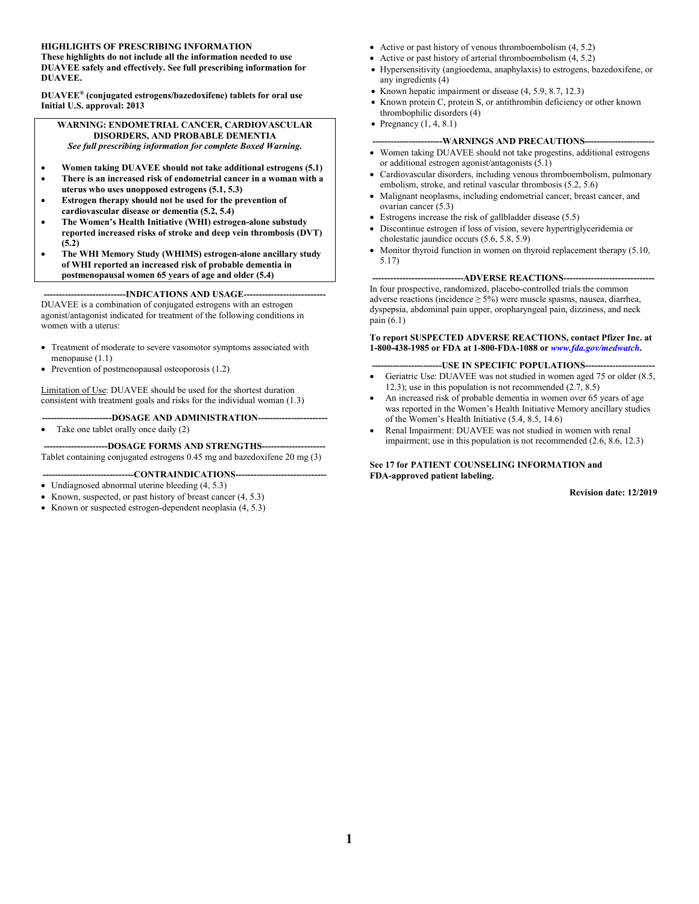#### **HIGHLIGHTS OF PRESCRIBING INFORMATION**

**These highlights do not include all the information needed to use DUAVEE safely and effectively. See full prescribing information for DUAVEE.**

**DUAVEE® (conjugated estrogens/bazedoxifene) tablets for oral use Initial U.S. approval: 2013**

**WARNING: ENDOMETRIAL CANCER, CARDIOVASCULAR DISORDERS, AND PROBABLE DEMENTIA** *See full prescribing information for complete Boxed Warning.*

- **Women taking DUAVEE should not take additional estrogens (5.1)**
- **There is an increased risk of endometrial cancer in a woman with a uterus who uses unopposed estrogens (5.1, 5.3)**
- **Estrogen therapy should not be used for the prevention of cardiovascular disease or dementia (5.2, 5.4)**
- **The Women's Health Initiative (WHI) estrogen-alone substudy reported increased risks of stroke and deep vein thrombosis (DVT) (5.2)**
- **The WHI Memory Study (WHIMS) estrogen-alone ancillary study of WHI reported an increased risk of probable dementia in postmenopausal women 65 years of age and older (5.4)**

**---------------------------INDICATIONS AND USAGE---------------------------**

DUAVEE is a combination of conjugated estrogens with an estrogen agonist/antagonist indicated for treatment of the following conditions in women with a uterus:

- Treatment of moderate to severe vasomotor symptoms associated with menopause (1.1)
- Prevention of postmenopausal osteoporosis (1.2)

Limitation of Use: DUAVEE should be used for the shortest duration consistent with treatment goals and risks for the individual woman (1.3)

**-----------------------DOSAGE AND ADMINISTRATION-----------------------** Take one tablet orally once daily (2)

---DOSAGE FORMS AND STRENGTHS--

Tablet containing conjugated estrogens 0.45 mg and bazedoxifene 20 mg (3)

----CONTRAINDICATIONS-

- Undiagnosed abnormal uterine bleeding (4, 5.3)
- Known, suspected, or past history of breast cancer (4, 5.3)
- Known or suspected estrogen-dependent neoplasia (4, 5.3)
- Active or past history of venous thromboembolism  $(4, 5.2)$
- Active or past history of arterial thromboembolism  $(4, 5.2)$
- Hypersensitivity (angioedema, anaphylaxis) to estrogens, bazedoxifene, or any ingredients (4)
- Known hepatic impairment or disease  $(4, 5.9, 8.7, 12.3)$
- Known protein C, protein S, or antithrombin deficiency or other known thrombophilic disorders (4)
- Pregnancy  $(1, 4, 8.1)$

#### ---WARNINGS AND PRECAUTIONS-----

- Women taking DUAVEE should not take progestins, additional estrogens or additional estrogen agonist/antagonists (5.1)
- Cardiovascular disorders, including venous thromboembolism, pulmonary embolism, stroke, and retinal vascular thrombosis (5.2, 5.6)
- Malignant neoplasms, including endometrial cancer, breast cancer, and ovarian cancer (5.3)
- Estrogens increase the risk of gallbladder disease (5.5)
- Discontinue estrogen if loss of vision, severe hypertriglyceridemia or cholestatic jaundice occurs (5.6, 5.8, 5.9)
- Monitor thyroid function in women on thyroid replacement therapy (5.10, 5.17)

---ADVERSE REACTIONS--

In four prospective, randomized, placebo-controlled trials the common adverse reactions (incidence  $\geq 5\%$ ) were muscle spasms, nausea, diarrhea, dyspepsia, abdominal pain upper, oropharyngeal pain, dizziness, and neck pain (6.1)

**To report SUSPECTED ADVERSE REACTIONS, contact Pfizer Inc. at 1-800-438-1985 or FDA at 1-800-FDA-1088 or** *[www.fda.gov/medwatch](http://www.fda.gov/medwatch)***.**

#### **-USE IN SPECIFIC POPULATIONS--**

- Geriatric Use: DUAVEE was not studied in women aged 75 or older (8.5, 12.3); use in this population is not recommended (2.7, 8.5)
- An increased risk of probable dementia in women over 65 years of age was reported in the Women's Health Initiative Memory ancillary studies of the Women's Health Initiative (5.4, 8.5, 14.6)
- Renal Impairment: DUAVEE was not studied in women with renal impairment; use in this population is not recommended (2.6, 8.6, 12.3)

#### **See 17 for PATIENT COUNSELING INFORMATION and FDA-approved patient labeling.**

**Revision date: 12/2019**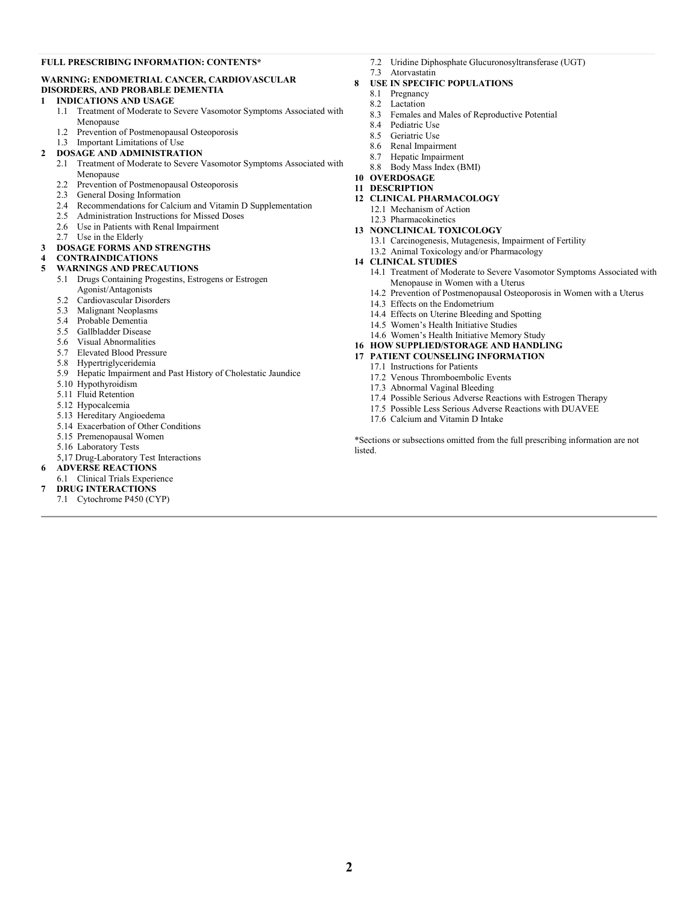#### **FULL PRESCRIBING INFORMATION: CONTENTS\***

#### **WARNING: ENDOMETRIAL CANCER, CARDIOVASCULAR DISORDERS, AND PROBABLE DEMENTIA**

#### **1 INDICATIONS AND USAGE**

- 1.1 Treatment of Moderate to Severe Vasomotor Symptoms Associated with Menopause
- 1.2 Prevention of Postmenopausal Osteoporosis
- 1.3 Important Limitations of Use

#### **2 DOSAGE AND ADMINISTRATION**

- 2.1 Treatment of Moderate to Severe Vasomotor Symptoms Associated with Menopause
- 2.2 Prevention of Postmenopausal Osteoporosis
- 2.3 General Dosing Information
- 2.4 Recommendations for Calcium and Vitamin D Supplementation
- 2.5 Administration Instructions for Missed Doses
- 2.6 Use in Patients with Renal Impairment
- 2.7 Use in the Elderly
- **3 DOSAGE FORMS AND STRENGTHS**

## **4 CONTRAINDICATIONS**

#### **5 WARNINGS AND PRECAUTIONS**

- 5.1 Drugs Containing Progestins, Estrogens or Estrogen Agonist/Antagonists
- 5.2 Cardiovascular Disorders
- 5.3 Malignant Neoplasms
- 5.4 Probable Dementia
- 5.5 Gallbladder Disease
- 5.6 Visual Abnormalities
- 5.7 Elevated Blood Pressure
- 5.8 Hypertriglyceridemia
- 5.9 Hepatic Impairment and Past History of Cholestatic Jaundice
- 5.10 Hypothyroidism
- 5.11 Fluid Retention
- 5.12 Hypocalcemia
- 5.13 Hereditary Angioedema
- 5.14 Exacerbation of Other Conditions
- 5.15 Premenopausal Women
- 5.16 Laboratory Tests
- 5,17 Drug-Laboratory Test Interactions
- **6 ADVERSE REACTIONS**
- 6.1 Clinical Trials Experience
- **7 DRUG INTERACTIONS**
- 7.1 Cytochrome P450 (CYP)
- 7.2 Uridine Diphosphate Glucuronosyltransferase (UGT)
- 7.3 Atorvastatin

#### **8 USE IN SPECIFIC POPULATIONS**

- 8.1 Pregnancy
- 8.2 Lactation
- 8.3 Females and Males of Reproductive Potential
- 8.4 Pediatric Use
- 8.5 Geriatric Use
- 8.6 Renal Impairment
- 8.7 Hepatic Impairment
- 8.8 Body Mass Index (BMI)
- **10 OVERDOSAGE**
- **11 DESCRIPTION**
- **12 CLINICAL PHARMACOLOGY**
	- 12.1 Mechanism of Action
- 12.3 Pharmacokinetics

#### **13 NONCLINICAL TOXICOLOGY**

- 13.1 Carcinogenesis, Mutagenesis, Impairment of Fertility
- 13.2 Animal Toxicology and/or Pharmacology
- **14 CLINICAL STUDIES**
	- 14.1 Treatment of Moderate to Severe Vasomotor Symptoms Associated with Menopause in Women with a Uterus
	- 14.2 Prevention of Postmenopausal Osteoporosis in Women with a Uterus
	- 14.3 Effects on the Endometrium
	- 14.4 Effects on Uterine Bleeding and Spotting
	- 14.5 Women's Health Initiative Studies
	- 14.6 Women's Health Initiative Memory Study
- **16 HOW SUPPLIED/STORAGE AND HANDLING**

#### **17 PATIENT COUNSELING INFORMATION**

- 17.1 Instructions for Patients
	- 17.2 Venous Thromboembolic Events
	- 17.3 Abnormal Vaginal Bleeding
	- 17.4 Possible Serious Adverse Reactions with Estrogen Therapy
	- 17.5 Possible Less Serious Adverse Reactions with DUAVEE
- 17.6 Calcium and Vitamin D Intake

\*Sections or subsections omitted from the full prescribing information are not listed.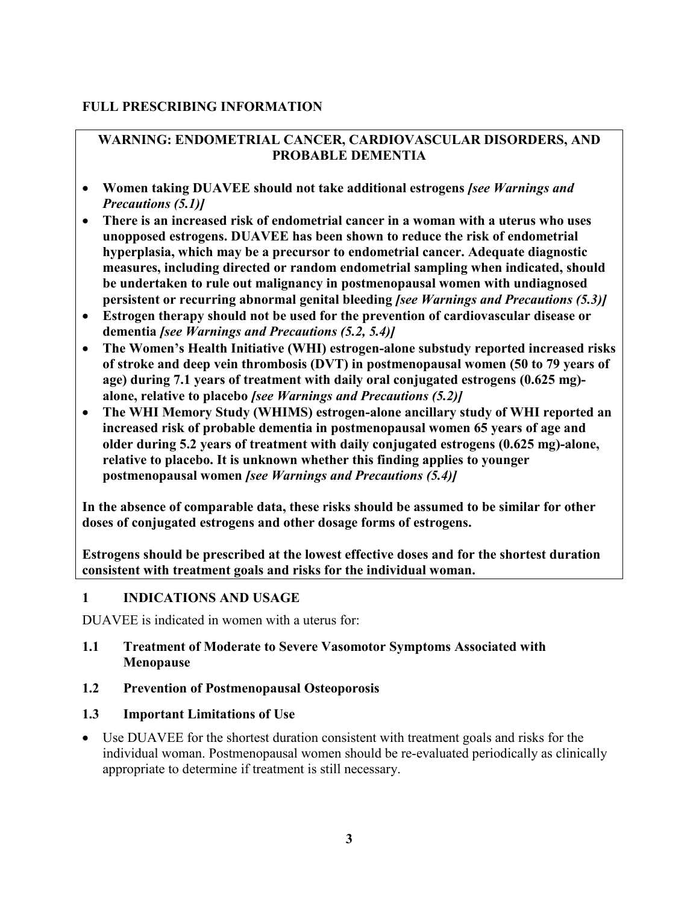### **FULL PRESCRIBING INFORMATION**

### **WARNING: ENDOMETRIAL CANCER, CARDIOVASCULAR DISORDERS, AND PROBABLE DEMENTIA**

- **Women taking DUAVEE should not take additional estrogens** *[see Warnings and Precautions (5.1)]*
- **There is an increased risk of endometrial cancer in a woman with a uterus who uses unopposed estrogens. DUAVEE has been shown to reduce the risk of endometrial hyperplasia, which may be a precursor to endometrial cancer. Adequate diagnostic measures, including directed or random endometrial sampling when indicated, should be undertaken to rule out malignancy in postmenopausal women with undiagnosed persistent or recurring abnormal genital bleeding** *[see Warnings and Precautions (5.3)]*
- **Estrogen therapy should not be used for the prevention of cardiovascular disease or dementia** *[see Warnings and Precautions (5.2, 5.4)]*
- **The Women's Health Initiative (WHI) estrogen-alone substudy reported increased risks of stroke and deep vein thrombosis (DVT) in postmenopausal women (50 to 79 years of age) during 7.1 years of treatment with daily oral conjugated estrogens (0.625 mg) alone, relative to placebo** *[see Warnings and Precautions (5.2)]*
- **The WHI Memory Study (WHIMS) estrogen-alone ancillary study of WHI reported an increased risk of probable dementia in postmenopausal women 65 years of age and older during 5.2 years of treatment with daily conjugated estrogens (0.625 mg)-alone, relative to placebo. It is unknown whether this finding applies to younger postmenopausal women** *[see Warnings and Precautions (5.4)]*

**In the absence of comparable data, these risks should be assumed to be similar for other doses of conjugated estrogens and other dosage forms of estrogens.**

**Estrogens should be prescribed at the lowest effective doses and for the shortest duration consistent with treatment goals and risks for the individual woman.**

### **1 INDICATIONS AND USAGE**

DUAVEE is indicated in women with a uterus for:

### **1.1 Treatment of Moderate to Severe Vasomotor Symptoms Associated with Menopause**

### **1.2 Prevention of Postmenopausal Osteoporosis**

### **1.3 Important Limitations of Use**

• Use DUAVEE for the shortest duration consistent with treatment goals and risks for the individual woman. Postmenopausal women should be re-evaluated periodically as clinically appropriate to determine if treatment is still necessary.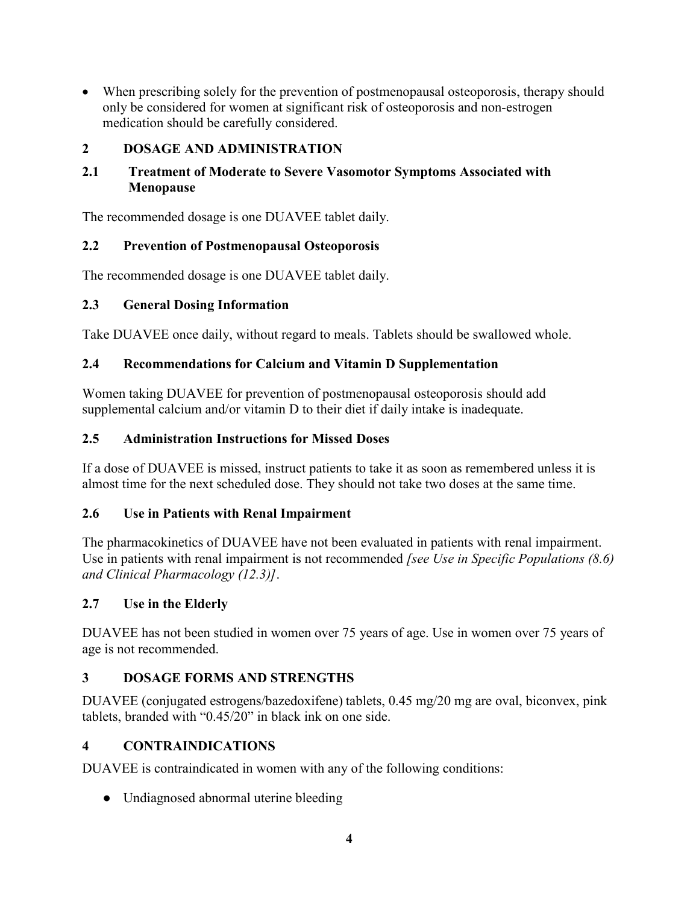• When prescribing solely for the prevention of postmenopausal osteoporosis, therapy should only be considered for women at significant risk of osteoporosis and non-estrogen medication should be carefully considered.

### **2 DOSAGE AND ADMINISTRATION**

### **2.1 Treatment of Moderate to Severe Vasomotor Symptoms Associated with Menopause**

The recommended dosage is one DUAVEE tablet daily.

### **2.2 Prevention of Postmenopausal Osteoporosis**

The recommended dosage is one DUAVEE tablet daily.

### **2.3 General Dosing Information**

Take DUAVEE once daily, without regard to meals. Tablets should be swallowed whole.

### **2.4 Recommendations for Calcium and Vitamin D Supplementation**

Women taking DUAVEE for prevention of postmenopausal osteoporosis should add supplemental calcium and/or vitamin D to their diet if daily intake is inadequate.

### **2.5 Administration Instructions for Missed Doses**

If a dose of DUAVEE is missed, instruct patients to take it as soon as remembered unless it is almost time for the next scheduled dose. They should not take two doses at the same time.

### **2.6 Use in Patients with Renal Impairment**

The pharmacokinetics of DUAVEE have not been evaluated in patients with renal impairment. Use in patients with renal impairment is not recommended *[see Use in Specific Populations (8.6) and Clinical Pharmacology (12.3)]*.

### **2.7 Use in the Elderly**

DUAVEE has not been studied in women over 75 years of age. Use in women over 75 years of age is not recommended.

### **3 DOSAGE FORMS AND STRENGTHS**

DUAVEE (conjugated estrogens/bazedoxifene) tablets, 0.45 mg/20 mg are oval, biconvex, pink tablets, branded with "0.45/20" in black ink on one side.

### **4 CONTRAINDICATIONS**

DUAVEE is contraindicated in women with any of the following conditions:

**●** Undiagnosed abnormal uterine bleeding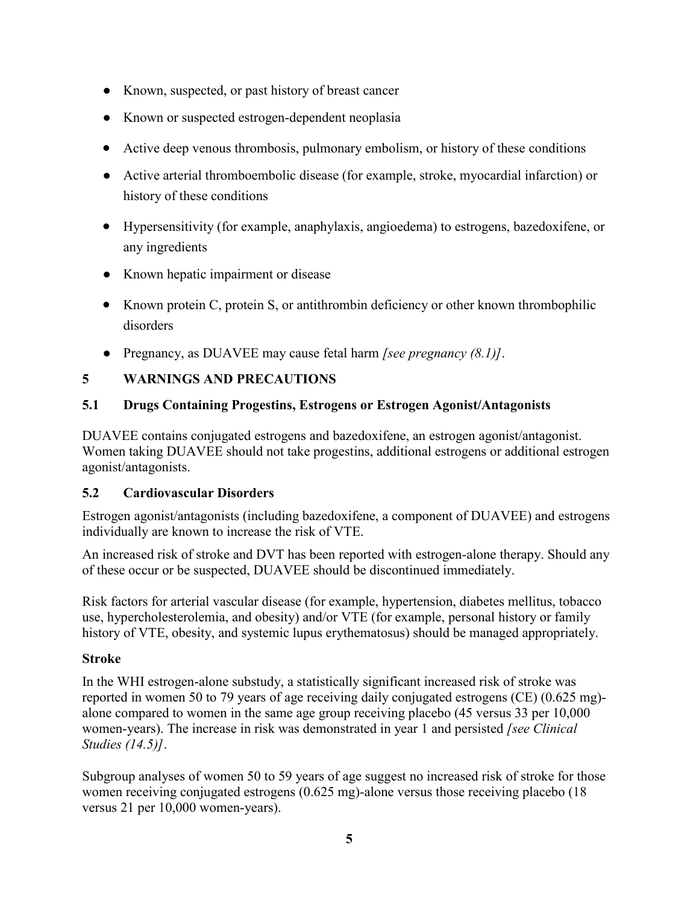- Known, suspected, or past history of breast cancer
- Known or suspected estrogen-dependent neoplasia
- Active deep venous thrombosis, pulmonary embolism, or history of these conditions
- Active arterial thromboembolic disease (for example, stroke, myocardial infarction) or history of these conditions
- Hypersensitivity (for example, anaphylaxis, angioedema) to estrogens, bazedoxifene, or any ingredients
- Known hepatic impairment or disease
- Known protein C, protein S, or antithrombin deficiency or other known thrombophilic disorders
- Pregnancy, as DUAVEE may cause fetal harm *[see pregnancy (8.1)]*.

## **5 WARNINGS AND PRECAUTIONS**

## **5.1 Drugs Containing Progestins, Estrogens or Estrogen Agonist/Antagonists**

DUAVEE contains conjugated estrogens and bazedoxifene, an estrogen agonist/antagonist. Women taking DUAVEE should not take progestins, additional estrogens or additional estrogen agonist/antagonists.

### **5.2 Cardiovascular Disorders**

Estrogen agonist/antagonists (including bazedoxifene, a component of DUAVEE) and estrogens individually are known to increase the risk of VTE.

An increased risk of stroke and DVT has been reported with estrogen-alone therapy. Should any of these occur or be suspected, DUAVEE should be discontinued immediately.

Risk factors for arterial vascular disease (for example, hypertension, diabetes mellitus, tobacco use, hypercholesterolemia, and obesity) and/or VTE (for example, personal history or family history of VTE, obesity, and systemic lupus erythematosus) should be managed appropriately.

### **Stroke**

In the WHI estrogen-alone substudy, a statistically significant increased risk of stroke was reported in women 50 to 79 years of age receiving daily conjugated estrogens (CE) (0.625 mg) alone compared to women in the same age group receiving placebo (45 versus 33 per 10,000 women-years). The increase in risk was demonstrated in year 1 and persisted *[see Clinical Studies (14.5)]*.

Subgroup analyses of women 50 to 59 years of age suggest no increased risk of stroke for those women receiving conjugated estrogens (0.625 mg)-alone versus those receiving placebo (18 versus 21 per 10,000 women-years).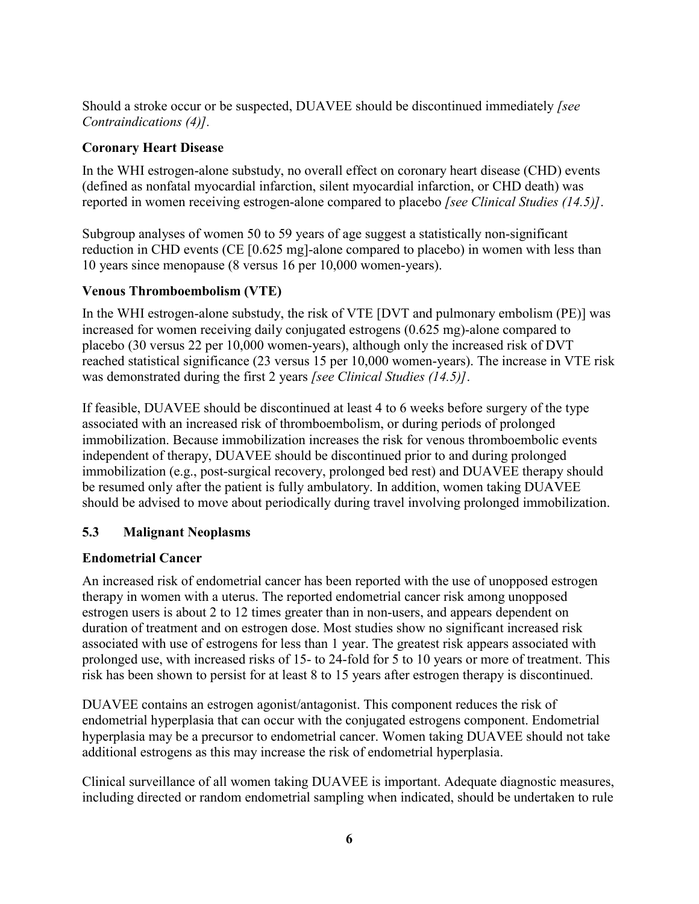Should a stroke occur or be suspected, DUAVEE should be discontinued immediately *[see Contraindications (4)].*

### **Coronary Heart Disease**

In the WHI estrogen-alone substudy, no overall effect on coronary heart disease (CHD) events (defined as nonfatal myocardial infarction, silent myocardial infarction, or CHD death) was reported in women receiving estrogen-alone compared to placebo *[see Clinical Studies (14.5)]*.

Subgroup analyses of women 50 to 59 years of age suggest a statistically non-significant reduction in CHD events (CE [0.625 mg]-alone compared to placebo) in women with less than 10 years since menopause (8 versus 16 per 10,000 women-years).

### **Venous Thromboembolism (VTE)**

In the WHI estrogen-alone substudy, the risk of VTE [DVT and pulmonary embolism (PE)] was increased for women receiving daily conjugated estrogens (0.625 mg)-alone compared to placebo (30 versus 22 per 10,000 women-years), although only the increased risk of DVT reached statistical significance (23 versus 15 per 10,000 women-years). The increase in VTE risk was demonstrated during the first 2 years *[see Clinical Studies (14.5)]*.

If feasible, DUAVEE should be discontinued at least 4 to 6 weeks before surgery of the type associated with an increased risk of thromboembolism, or during periods of prolonged immobilization. Because immobilization increases the risk for venous thromboembolic events independent of therapy, DUAVEE should be discontinued prior to and during prolonged immobilization (e.g., post-surgical recovery, prolonged bed rest) and DUAVEE therapy should be resumed only after the patient is fully ambulatory. In addition, women taking DUAVEE should be advised to move about periodically during travel involving prolonged immobilization.

### **5.3 Malignant Neoplasms**

### **Endometrial Cancer**

An increased risk of endometrial cancer has been reported with the use of unopposed estrogen therapy in women with a uterus. The reported endometrial cancer risk among unopposed estrogen users is about 2 to 12 times greater than in non-users, and appears dependent on duration of treatment and on estrogen dose. Most studies show no significant increased risk associated with use of estrogens for less than 1 year. The greatest risk appears associated with prolonged use, with increased risks of 15- to 24-fold for 5 to 10 years or more of treatment. This risk has been shown to persist for at least 8 to 15 years after estrogen therapy is discontinued.

DUAVEE contains an estrogen agonist/antagonist. This component reduces the risk of endometrial hyperplasia that can occur with the conjugated estrogens component. Endometrial hyperplasia may be a precursor to endometrial cancer. Women taking DUAVEE should not take additional estrogens as this may increase the risk of endometrial hyperplasia.

Clinical surveillance of all women taking DUAVEE is important. Adequate diagnostic measures, including directed or random endometrial sampling when indicated, should be undertaken to rule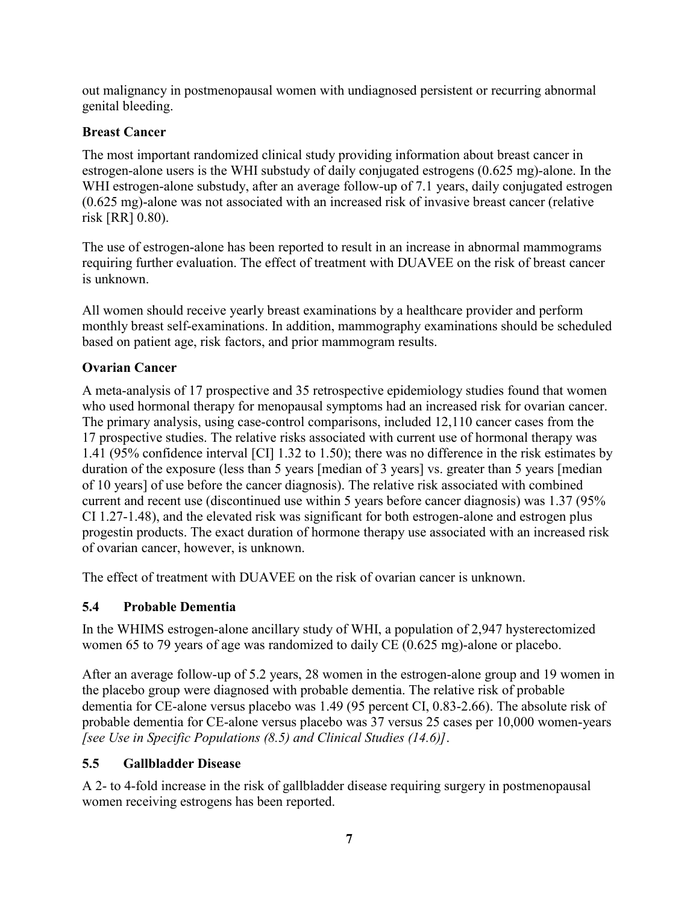out malignancy in postmenopausal women with undiagnosed persistent or recurring abnormal genital bleeding.

### **Breast Cancer**

The most important randomized clinical study providing information about breast cancer in estrogen-alone users is the WHI substudy of daily conjugated estrogens (0.625 mg)-alone. In the WHI estrogen-alone substudy, after an average follow-up of 7.1 years, daily conjugated estrogen (0.625 mg)-alone was not associated with an increased risk of invasive breast cancer (relative risk [RR] 0.80).

The use of estrogen-alone has been reported to result in an increase in abnormal mammograms requiring further evaluation. The effect of treatment with DUAVEE on the risk of breast cancer is unknown.

All women should receive yearly breast examinations by a healthcare provider and perform monthly breast self-examinations. In addition, mammography examinations should be scheduled based on patient age, risk factors, and prior mammogram results.

### **Ovarian Cancer**

A meta-analysis of 17 prospective and 35 retrospective epidemiology studies found that women who used hormonal therapy for menopausal symptoms had an increased risk for ovarian cancer. The primary analysis, using case-control comparisons, included 12,110 cancer cases from the 17 prospective studies. The relative risks associated with current use of hormonal therapy was 1.41 (95% confidence interval [CI] 1.32 to 1.50); there was no difference in the risk estimates by duration of the exposure (less than 5 years [median of 3 years] vs. greater than 5 years [median of 10 years] of use before the cancer diagnosis). The relative risk associated with combined current and recent use (discontinued use within 5 years before cancer diagnosis) was 1.37 (95% CI 1.27-1.48), and the elevated risk was significant for both estrogen-alone and estrogen plus progestin products. The exact duration of hormone therapy use associated with an increased risk of ovarian cancer, however, is unknown.

The effect of treatment with DUAVEE on the risk of ovarian cancer is unknown.

### **5.4 Probable Dementia**

In the WHIMS estrogen-alone ancillary study of WHI, a population of 2,947 hysterectomized women 65 to 79 years of age was randomized to daily CE (0.625 mg)-alone or placebo.

After an average follow-up of 5.2 years, 28 women in the estrogen-alone group and 19 women in the placebo group were diagnosed with probable dementia. The relative risk of probable dementia for CE-alone versus placebo was 1.49 (95 percent CI, 0.83-2.66). The absolute risk of probable dementia for CE-alone versus placebo was 37 versus 25 cases per 10,000 women-years *[see Use in Specific Populations (8.5) and Clinical Studies (14.6)]*.

### **5.5 Gallbladder Disease**

A 2- to 4-fold increase in the risk of gallbladder disease requiring surgery in postmenopausal women receiving estrogens has been reported.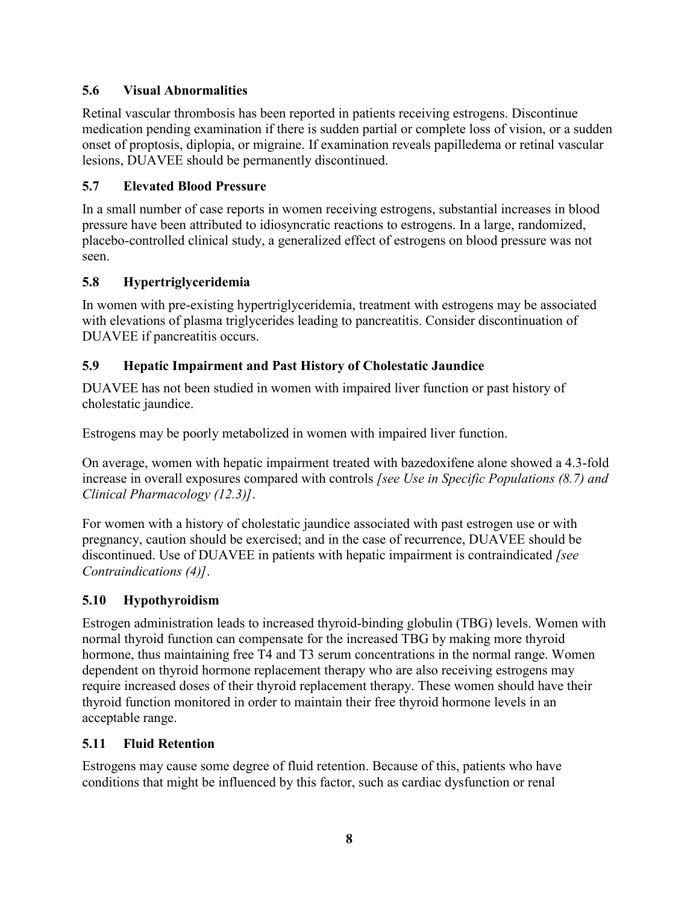### **5.6 Visual Abnormalities**

Retinal vascular thrombosis has been reported in patients receiving estrogens. Discontinue medication pending examination if there is sudden partial or complete loss of vision, or a sudden onset of proptosis, diplopia, or migraine. If examination reveals papilledema or retinal vascular lesions, DUAVEE should be permanently discontinued.

### **5.7 Elevated Blood Pressure**

In a small number of case reports in women receiving estrogens, substantial increases in blood pressure have been attributed to idiosyncratic reactions to estrogens. In a large, randomized, placebo-controlled clinical study, a generalized effect of estrogens on blood pressure was not seen.

### **5.8 Hypertriglyceridemia**

In women with pre-existing hypertriglyceridemia, treatment with estrogens may be associated with elevations of plasma triglycerides leading to pancreatitis. Consider discontinuation of DUAVEE if pancreatitis occurs.

### **5.9 Hepatic Impairment and Past History of Cholestatic Jaundice**

DUAVEE has not been studied in women with impaired liver function or past history of cholestatic jaundice.

Estrogens may be poorly metabolized in women with impaired liver function.

On average, women with hepatic impairment treated with bazedoxifene alone showed a 4.3-fold increase in overall exposures compared with controls *[see Use in Specific Populations (8.7) and Clinical Pharmacology (12.3)]*.

For women with a history of cholestatic jaundice associated with past estrogen use or with pregnancy, caution should be exercised; and in the case of recurrence, DUAVEE should be discontinued. Use of DUAVEE in patients with hepatic impairment is contraindicated *[see Contraindications (4)]*.

### **5.10 Hypothyroidism**

Estrogen administration leads to increased thyroid-binding globulin (TBG) levels. Women with normal thyroid function can compensate for the increased TBG by making more thyroid hormone, thus maintaining free T4 and T3 serum concentrations in the normal range. Women dependent on thyroid hormone replacement therapy who are also receiving estrogens may require increased doses of their thyroid replacement therapy. These women should have their thyroid function monitored in order to maintain their free thyroid hormone levels in an acceptable range.

### **5.11 Fluid Retention**

Estrogens may cause some degree of fluid retention. Because of this, patients who have conditions that might be influenced by this factor, such as cardiac dysfunction or renal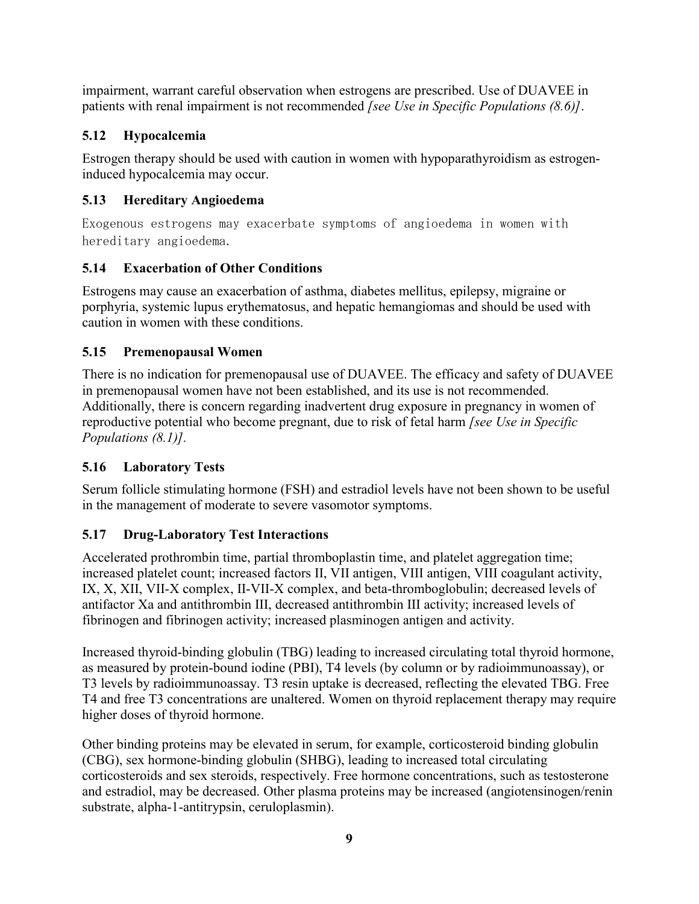impairment, warrant careful observation when estrogens are prescribed. Use of DUAVEE in patients with renal impairment is not recommended *[see Use in Specific Populations (8.6)]*.

## **5.12 Hypocalcemia**

Estrogen therapy should be used with caution in women with hypoparathyroidism as estrogeninduced hypocalcemia may occur.

## **5.13 Hereditary Angioedema**

Exogenous estrogens may exacerbate symptoms of angioedema in women with hereditary angioedema.

## **5.14 Exacerbation of Other Conditions**

Estrogens may cause an exacerbation of asthma, diabetes mellitus, epilepsy, migraine or porphyria, systemic lupus erythematosus, and hepatic hemangiomas and should be used with caution in women with these conditions.

## **5.15 Premenopausal Women**

There is no indication for premenopausal use of DUAVEE. The efficacy and safety of DUAVEE in premenopausal women have not been established, and its use is not recommended. Additionally, there is concern regarding inadvertent drug exposure in pregnancy in women of reproductive potential who become pregnant, due to risk of fetal harm *[see Use in Specific Populations (8.1)].*

## **5.16 Laboratory Tests**

Serum follicle stimulating hormone (FSH) and estradiol levels have not been shown to be useful in the management of moderate to severe vasomotor symptoms.

## **5.17 Drug-Laboratory Test Interactions**

Accelerated prothrombin time, partial thromboplastin time, and platelet aggregation time; increased platelet count; increased factors II, VII antigen, VIII antigen, VIII coagulant activity, IX, X, XII, VII-X complex, II-VII-X complex, and beta-thromboglobulin; decreased levels of antifactor Xa and antithrombin III, decreased antithrombin III activity; increased levels of fibrinogen and fibrinogen activity; increased plasminogen antigen and activity.

Increased thyroid-binding globulin (TBG) leading to increased circulating total thyroid hormone, as measured by protein-bound iodine (PBI), T4 levels (by column or by radioimmunoassay), or T3 levels by radioimmunoassay. T3 resin uptake is decreased, reflecting the elevated TBG. Free T4 and free T3 concentrations are unaltered. Women on thyroid replacement therapy may require higher doses of thyroid hormone.

Other binding proteins may be elevated in serum, for example, corticosteroid binding globulin (CBG), sex hormone-binding globulin (SHBG), leading to increased total circulating corticosteroids and sex steroids, respectively. Free hormone concentrations, such as testosterone and estradiol, may be decreased. Other plasma proteins may be increased (angiotensinogen/renin substrate, alpha-1-antitrypsin, ceruloplasmin).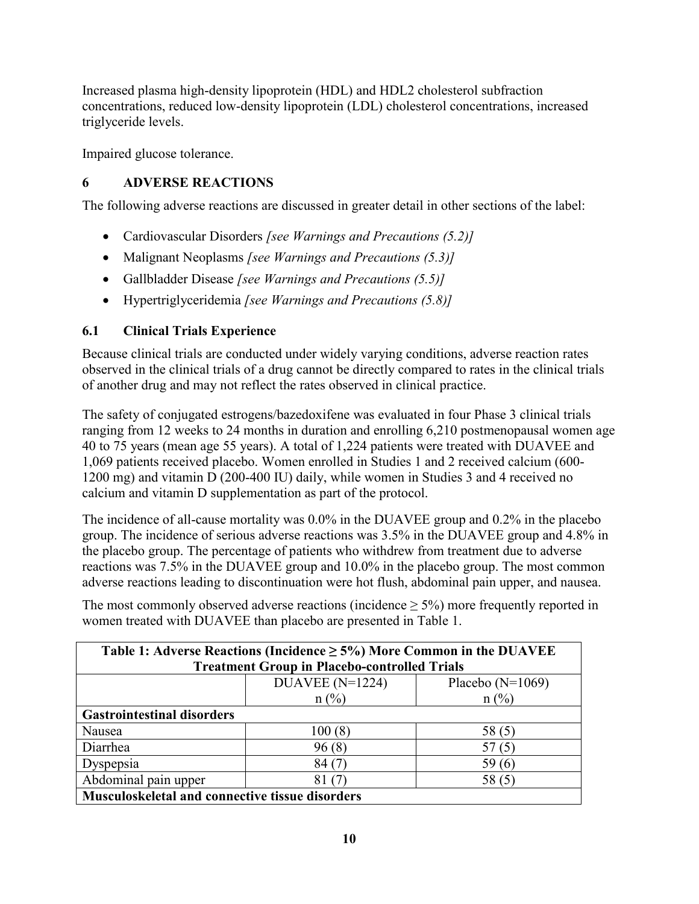Increased plasma high-density lipoprotein (HDL) and HDL2 cholesterol subfraction concentrations, reduced low-density lipoprotein (LDL) cholesterol concentrations, increased triglyceride levels.

Impaired glucose tolerance.

## **6 ADVERSE REACTIONS**

The following adverse reactions are discussed in greater detail in other sections of the label:

- Cardiovascular Disorders *[see Warnings and Precautions (5.2)]*
- Malignant Neoplasms *[see Warnings and Precautions (5.3)]*
- Gallbladder Disease *[see Warnings and Precautions (5.5)]*
- Hypertriglyceridemia *[see Warnings and Precautions (5.8)]*

## **6.1 Clinical Trials Experience**

Because clinical trials are conducted under widely varying conditions, adverse reaction rates observed in the clinical trials of a drug cannot be directly compared to rates in the clinical trials of another drug and may not reflect the rates observed in clinical practice.

The safety of conjugated estrogens/bazedoxifene was evaluated in four Phase 3 clinical trials ranging from 12 weeks to 24 months in duration and enrolling 6,210 postmenopausal women age 40 to 75 years (mean age 55 years). A total of 1,224 patients were treated with DUAVEE and 1,069 patients received placebo. Women enrolled in Studies 1 and 2 received calcium (600- 1200 mg) and vitamin D (200-400 IU) daily, while women in Studies 3 and 4 received no calcium and vitamin D supplementation as part of the protocol.

The incidence of all-cause mortality was 0.0% in the DUAVEE group and 0.2% in the placebo group. The incidence of serious adverse reactions was 3.5% in the DUAVEE group and 4.8% in the placebo group. The percentage of patients who withdrew from treatment due to adverse reactions was 7.5% in the DUAVEE group and 10.0% in the placebo group. The most common adverse reactions leading to discontinuation were hot flush, abdominal pain upper, and nausea.

The most commonly observed adverse reactions (incidence  $\geq$  5%) more frequently reported in women treated with DUAVEE than placebo are presented in Table 1.

| Table 1: Adverse Reactions (Incidence $\geq$ 5%) More Common in the DUAVEE<br><b>Treatment Group in Placebo-controlled Trials</b> |                                  |       |  |  |  |  |  |
|-----------------------------------------------------------------------------------------------------------------------------------|----------------------------------|-------|--|--|--|--|--|
| DUAVEE ( $N=1224$ )<br>Placebo $(N=1069)$                                                                                         |                                  |       |  |  |  |  |  |
|                                                                                                                                   | $n(^{0}/_{0})$<br>$n(^{0}/_{0})$ |       |  |  |  |  |  |
| <b>Gastrointestinal disorders</b>                                                                                                 |                                  |       |  |  |  |  |  |
| Nausea                                                                                                                            | 100(8)                           | 58(5) |  |  |  |  |  |
| Diarrhea                                                                                                                          | 96(8)                            |       |  |  |  |  |  |
| Dyspepsia<br>84 (7<br>59 (6                                                                                                       |                                  |       |  |  |  |  |  |
| Abdominal pain upper<br>58 (5)<br>81                                                                                              |                                  |       |  |  |  |  |  |
| Musculoskeletal and connective tissue disorders                                                                                   |                                  |       |  |  |  |  |  |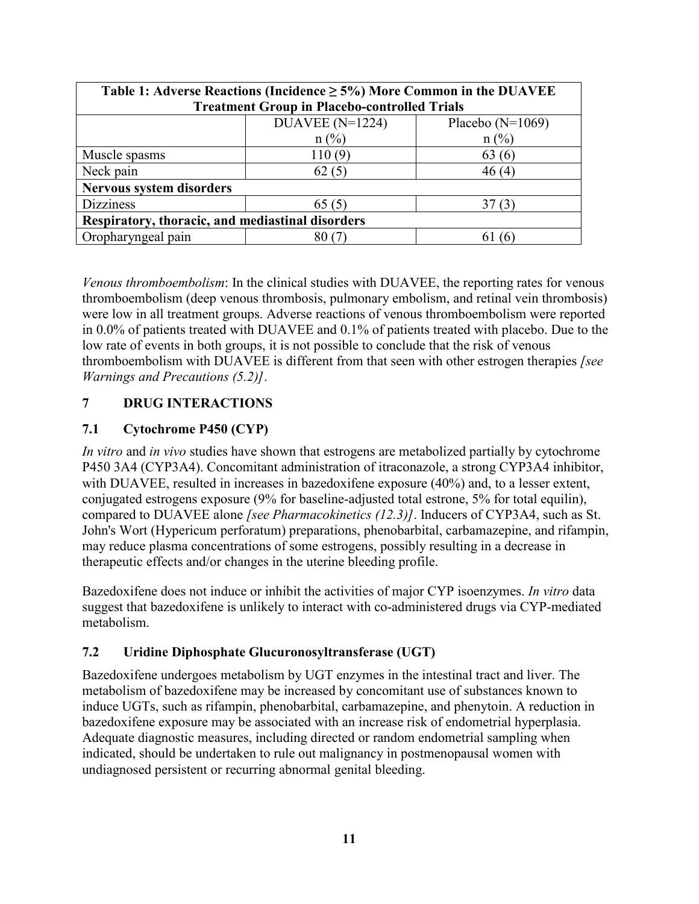| Table 1: Adverse Reactions (Incidence $\geq$ 5%) More Common in the DUAVEE |                                         |                |  |  |  |  |  |
|----------------------------------------------------------------------------|-----------------------------------------|----------------|--|--|--|--|--|
| <b>Treatment Group in Placebo-controlled Trials</b>                        |                                         |                |  |  |  |  |  |
|                                                                            | DUAVEE $(N=1224)$<br>Placebo $(N=1069)$ |                |  |  |  |  |  |
|                                                                            | $n(^{0}/_{0})$                          | $n(^{0}/_{0})$ |  |  |  |  |  |
| Muscle spasms                                                              | 110(9)                                  | 63(6)          |  |  |  |  |  |
| Neck pain                                                                  | 62(5)<br>46(4)                          |                |  |  |  |  |  |
| <b>Nervous system disorders</b>                                            |                                         |                |  |  |  |  |  |
| <b>Dizziness</b>                                                           | 65(5)                                   |                |  |  |  |  |  |
| Respiratory, thoracic, and mediastinal disorders                           |                                         |                |  |  |  |  |  |
| Oropharyngeal pain                                                         | 80 C                                    |                |  |  |  |  |  |

*Venous thromboembolism*: In the clinical studies with DUAVEE, the reporting rates for venous thromboembolism (deep venous thrombosis, pulmonary embolism, and retinal vein thrombosis) were low in all treatment groups. Adverse reactions of venous thromboembolism were reported in 0.0% of patients treated with DUAVEE and 0.1% of patients treated with placebo. Due to the low rate of events in both groups, it is not possible to conclude that the risk of venous thromboembolism with DUAVEE is different from that seen with other estrogen therapies *[see Warnings and Precautions (5.2)]*.

### **7 DRUG INTERACTIONS**

### **7.1 Cytochrome P450 (CYP)**

*In vitro* and *in vivo* studies have shown that estrogens are metabolized partially by cytochrome P450 3A4 (CYP3A4). Concomitant administration of itraconazole, a strong CYP3A4 inhibitor, with DUAVEE, resulted in increases in bazedoxifene exposure (40%) and, to a lesser extent, conjugated estrogens exposure (9% for baseline-adjusted total estrone, 5% for total equilin), compared to DUAVEE alone *[see Pharmacokinetics (12.3)]*. Inducers of CYP3A4, such as St. John's Wort (Hypericum perforatum) preparations, phenobarbital, carbamazepine, and rifampin, may reduce plasma concentrations of some estrogens, possibly resulting in a decrease in therapeutic effects and/or changes in the uterine bleeding profile.

Bazedoxifene does not induce or inhibit the activities of major CYP isoenzymes. *In vitro* data suggest that bazedoxifene is unlikely to interact with co-administered drugs via CYP-mediated metabolism.

### **7.2 Uridine Diphosphate Glucuronosyltransferase (UGT)**

Bazedoxifene undergoes metabolism by UGT enzymes in the intestinal tract and liver. The metabolism of bazedoxifene may be increased by concomitant use of substances known to induce UGTs, such as rifampin, phenobarbital, carbamazepine, and phenytoin. A reduction in bazedoxifene exposure may be associated with an increase risk of endometrial hyperplasia. Adequate diagnostic measures, including directed or random endometrial sampling when indicated, should be undertaken to rule out malignancy in postmenopausal women with undiagnosed persistent or recurring abnormal genital bleeding.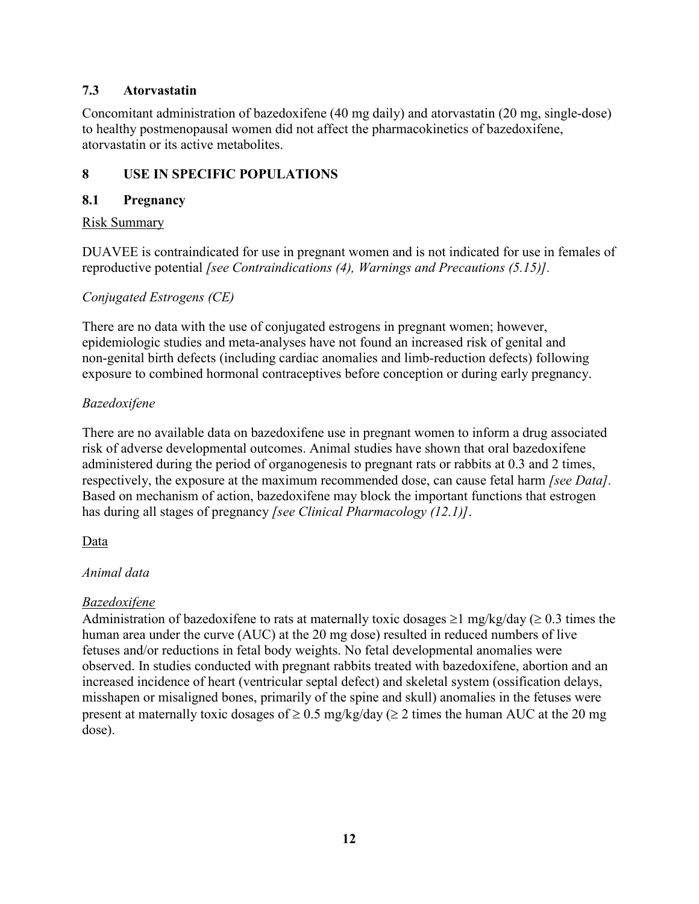### **7.3 Atorvastatin**

Concomitant administration of bazedoxifene (40 mg daily) and atorvastatin (20 mg, single-dose) to healthy postmenopausal women did not affect the pharmacokinetics of bazedoxifene, atorvastatin or its active metabolites.

### **8 USE IN SPECIFIC POPULATIONS**

#### **8.1 Pregnancy**

#### Risk Summary

DUAVEE is contraindicated for use in pregnant women and is not indicated for use in females of reproductive potential *[see Contraindications (4), Warnings and Precautions (5.15)].*

### *Conjugated Estrogens (CE)*

There are no data with the use of conjugated estrogens in pregnant women; however, epidemiologic studies and meta-analyses have not found an increased risk of genital and non-genital birth defects (including cardiac anomalies and limb-reduction defects) following exposure to combined hormonal contraceptives before conception or during early pregnancy.

### *Bazedoxifene*

There are no available data on bazedoxifene use in pregnant women to inform a drug associated risk of adverse developmental outcomes. Animal studies have shown that oral bazedoxifene administered during the period of organogenesis to pregnant rats or rabbits at 0.3 and 2 times, respectively, the exposure at the maximum recommended dose, can cause fetal harm *[see Data].* Based on mechanism of action, bazedoxifene may block the important functions that estrogen has during all stages of pregnancy *[see Clinical Pharmacology (12.1)]*.

### Data

### *Animal data*

### *Bazedoxifene*

Administration of bazedoxifene to rats at maternally toxic dosages  $\geq 1$  mg/kg/day ( $\geq 0.3$  times the human area under the curve (AUC) at the 20 mg dose) resulted in reduced numbers of live fetuses and/or reductions in fetal body weights. No fetal developmental anomalies were observed. In studies conducted with pregnant rabbits treated with bazedoxifene, abortion and an increased incidence of heart (ventricular septal defect) and skeletal system (ossification delays, misshapen or misaligned bones, primarily of the spine and skull) anomalies in the fetuses were present at maternally toxic dosages of  $\geq 0.5$  mg/kg/day ( $\geq 2$  times the human AUC at the 20 mg dose).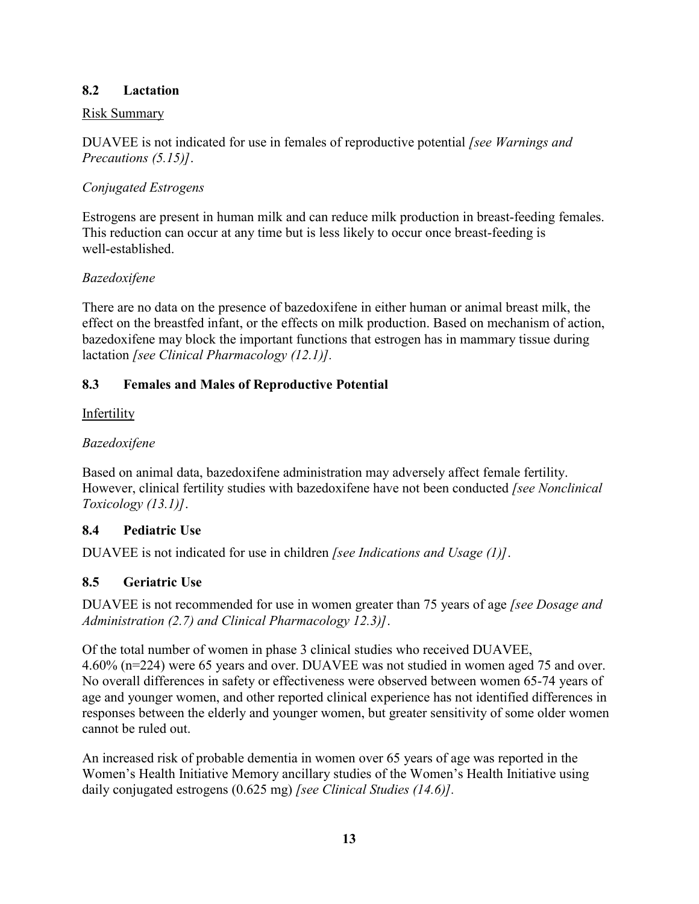### **8.2 Lactation**

#### Risk Summary

DUAVEE is not indicated for use in females of reproductive potential *[see Warnings and Precautions (5.15)]*.

### *Conjugated Estrogens*

Estrogens are present in human milk and can reduce milk production in breast-feeding females. This reduction can occur at any time but is less likely to occur once breast-feeding is well-established.

### *Bazedoxifene*

There are no data on the presence of bazedoxifene in either human or animal breast milk, the effect on the breastfed infant, or the effects on milk production. Based on mechanism of action, bazedoxifene may block the important functions that estrogen has in mammary tissue during lactation *[see Clinical Pharmacology (12.1)].*

### **8.3 Females and Males of Reproductive Potential**

### Infertility

### *Bazedoxifene*

Based on animal data, bazedoxifene administration may adversely affect female fertility. However, clinical fertility studies with bazedoxifene have not been conducted *[see Nonclinical Toxicology (13.1)]*.

### **8.4 Pediatric Use**

DUAVEE is not indicated for use in children *[see Indications and Usage (1)]*.

### **8.5 Geriatric Use**

DUAVEE is not recommended for use in women greater than 75 years of age *[see Dosage and Administration (2.7) and Clinical Pharmacology 12.3)]*.

Of the total number of women in phase 3 clinical studies who received DUAVEE, 4.60% (n=224) were 65 years and over. DUAVEE was not studied in women aged 75 and over. No overall differences in safety or effectiveness were observed between women 65-74 years of age and younger women, and other reported clinical experience has not identified differences in responses between the elderly and younger women, but greater sensitivity of some older women cannot be ruled out.

An increased risk of probable dementia in women over 65 years of age was reported in the Women's Health Initiative Memory ancillary studies of the Women's Health Initiative using daily conjugated estrogens (0.625 mg) *[see Clinical Studies (14.6)].*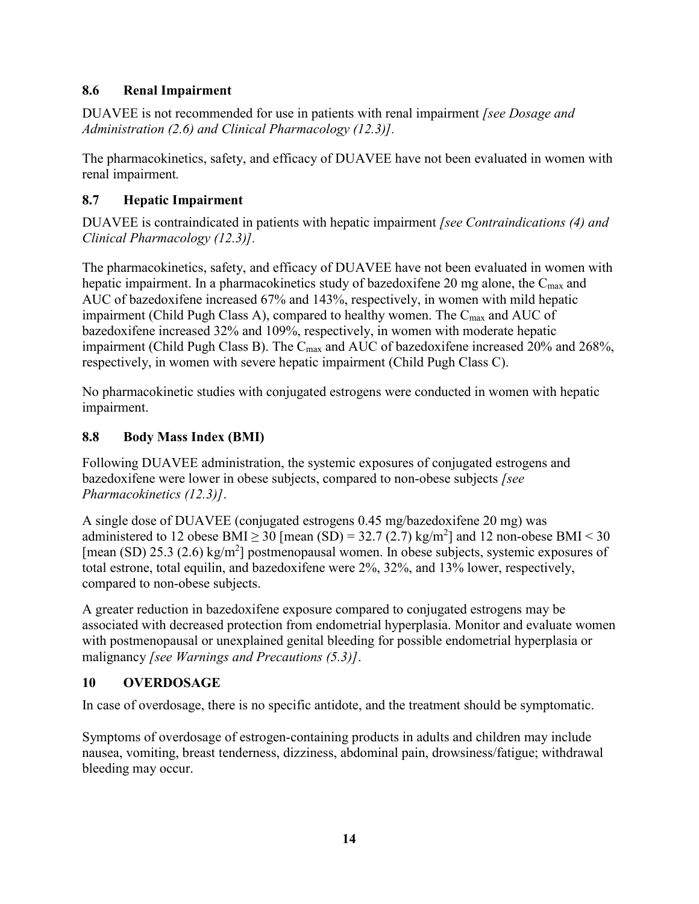### **8.6 Renal Impairment**

DUAVEE is not recommended for use in patients with renal impairment *[see Dosage and Administration (2.6) and Clinical Pharmacology (12.3)].* 

The pharmacokinetics, safety, and efficacy of DUAVEE have not been evaluated in women with renal impairment*.*

### **8.7 Hepatic Impairment**

DUAVEE is contraindicated in patients with hepatic impairment *[see Contraindications (4) and Clinical Pharmacology (12.3)].* 

The pharmacokinetics, safety, and efficacy of DUAVEE have not been evaluated in women with hepatic impairment. In a pharmacokinetics study of bazedoxifene 20 mg alone, the C<sub>max</sub> and AUC of bazedoxifene increased 67% and 143%, respectively, in women with mild hepatic impairment (Child Pugh Class A), compared to healthy women. The  $C_{\text{max}}$  and AUC of bazedoxifene increased 32% and 109%, respectively, in women with moderate hepatic impairment (Child Pugh Class B). The  $C_{\text{max}}$  and AUC of bazedoxifene increased 20% and 268%, respectively, in women with severe hepatic impairment (Child Pugh Class C).

No pharmacokinetic studies with conjugated estrogens were conducted in women with hepatic impairment.

## **8.8 Body Mass Index (BMI)**

Following DUAVEE administration, the systemic exposures of conjugated estrogens and bazedoxifene were lower in obese subjects, compared to non-obese subjects *[see Pharmacokinetics (12.3)]*.

A single dose of DUAVEE (conjugated estrogens 0.45 mg/bazedoxifene 20 mg) was administered to 12 obese BMI  $\geq$  30 [mean (SD) = 32.7 (2.7) kg/m<sup>2</sup>] and 12 non-obese BMI < 30 [mean (SD) 25.3 (2.6) kg/m<sup>2</sup>] postmenopausal women. In obese subjects, systemic exposures of total estrone, total equilin, and bazedoxifene were 2%, 32%, and 13% lower, respectively, compared to non-obese subjects.

A greater reduction in bazedoxifene exposure compared to conjugated estrogens may be associated with decreased protection from endometrial hyperplasia. Monitor and evaluate women with postmenopausal or unexplained genital bleeding for possible endometrial hyperplasia or malignancy *[see Warnings and Precautions (5.3)]*.

### **10 OVERDOSAGE**

In case of overdosage, there is no specific antidote, and the treatment should be symptomatic.

Symptoms of overdosage of estrogen-containing products in adults and children may include nausea, vomiting, breast tenderness, dizziness, abdominal pain, drowsiness/fatigue; withdrawal bleeding may occur.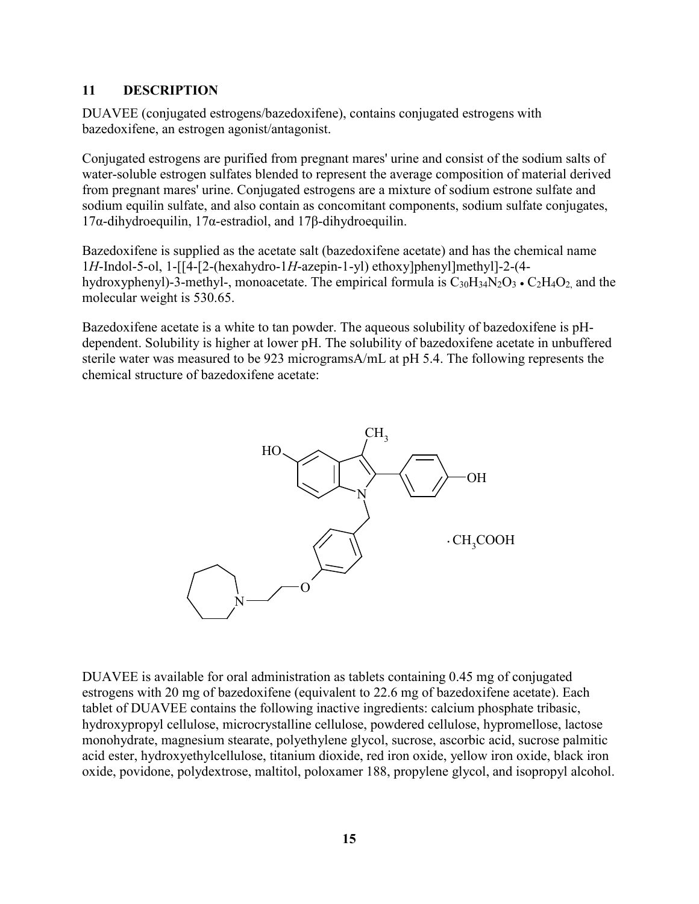#### **11 DESCRIPTION**

DUAVEE (conjugated estrogens/bazedoxifene), contains conjugated estrogens with bazedoxifene, an estrogen agonist/antagonist.

Conjugated estrogens are purified from pregnant mares' urine and consist of the sodium salts of water-soluble estrogen sulfates blended to represent the average composition of material derived from pregnant mares' urine. Conjugated estrogens are a mixture of sodium estrone sulfate and sodium equilin sulfate, and also contain as concomitant components, sodium sulfate conjugates, 17α-dihydroequilin, 17α-estradiol, and 17β-dihydroequilin.

Bazedoxifene is supplied as the acetate salt (bazedoxifene acetate) and has the chemical name 1*H*-Indol-5-ol, 1-[[4-[2-(hexahydro-1*H*-azepin-1-yl) ethoxy]phenyl]methyl]-2-(4 hydroxyphenyl)-3-methyl-, monoacetate. The empirical formula is  $C_{30}H_{34}N_2O_3 \cdot C_2H_4O_2$ , and the molecular weight is 530.65.

Bazedoxifene acetate is a white to tan powder. The aqueous solubility of bazedoxifene is pHdependent. Solubility is higher at lower pH. The solubility of bazedoxifene acetate in unbuffered sterile water was measured to be 923 microgramsA/mL at pH 5.4. The following represents the chemical structure of bazedoxifene acetate:



DUAVEE is available for oral administration as tablets containing 0.45 mg of conjugated estrogens with 20 mg of bazedoxifene (equivalent to 22.6 mg of bazedoxifene acetate). Each tablet of DUAVEE contains the following inactive ingredients: calcium phosphate tribasic, hydroxypropyl cellulose, microcrystalline cellulose, powdered cellulose, hypromellose, lactose monohydrate, magnesium stearate, polyethylene glycol, sucrose, ascorbic acid, sucrose palmitic acid ester, hydroxyethylcellulose, titanium dioxide, red iron oxide, yellow iron oxide, black iron oxide, povidone, polydextrose, maltitol, poloxamer 188, propylene glycol, and isopropyl alcohol.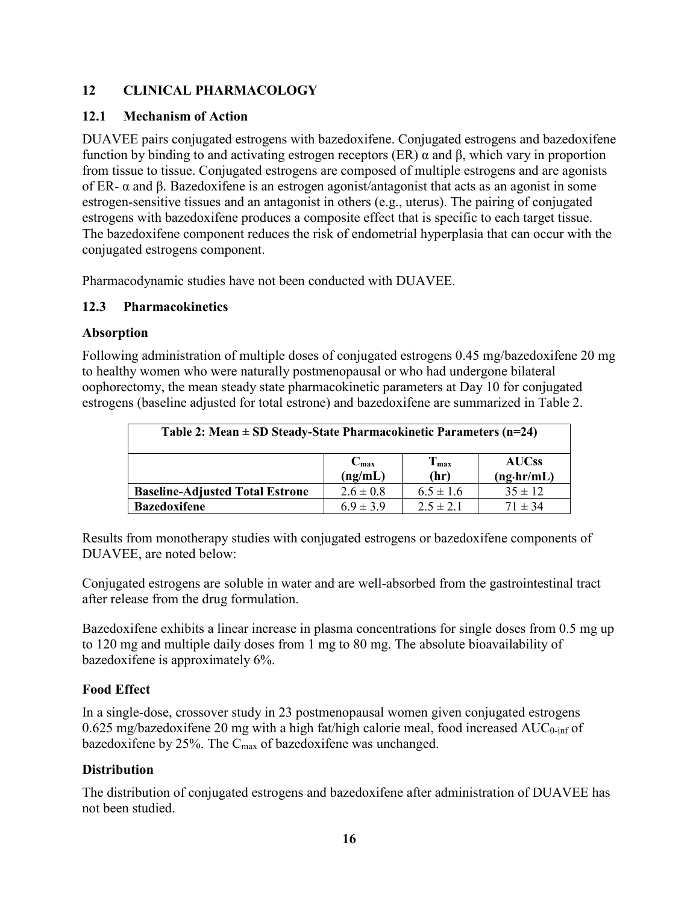### **12 CLINICAL PHARMACOLOGY**

#### **12.1 Mechanism of Action**

DUAVEE pairs conjugated estrogens with bazedoxifene. Conjugated estrogens and bazedoxifene function by binding to and activating estrogen receptors (ER) α and β, which vary in proportion from tissue to tissue. Conjugated estrogens are composed of multiple estrogens and are agonists of ER- α and β. Bazedoxifene is an estrogen agonist/antagonist that acts as an agonist in some estrogen-sensitive tissues and an antagonist in others (e.g., uterus). The pairing of conjugated estrogens with bazedoxifene produces a composite effect that is specific to each target tissue. The bazedoxifene component reduces the risk of endometrial hyperplasia that can occur with the conjugated estrogens component.

Pharmacodynamic studies have not been conducted with DUAVEE.

#### **12.3 Pharmacokinetics**

#### **Absorption**

Following administration of multiple doses of conjugated estrogens 0.45 mg/bazedoxifene 20 mg to healthy women who were naturally postmenopausal or who had undergone bilateral oophorectomy, the mean steady state pharmacokinetic parameters at Day 10 for conjugated estrogens (baseline adjusted for total estrone) and bazedoxifene are summarized in Table 2.

| Table 2: Mean $\pm$ SD Steady-State Pharmacokinetic Parameters (n=24)                 |               |               |             |  |  |
|---------------------------------------------------------------------------------------|---------------|---------------|-------------|--|--|
| $T_{max}$<br><b>AUCss</b><br>$C_{\text{max}}$<br>(ng/mL)<br>(hr)<br>$(ng\cdot hr/mL)$ |               |               |             |  |  |
| <b>Baseline-Adjusted Total Estrone</b>                                                | $2.6 \pm 0.8$ | $6.5 \pm 1.6$ | $35 \pm 12$ |  |  |
| <b>Bazedoxifene</b>                                                                   | $6.9 \pm 3.9$ | $2.5 \pm 2.1$ | $71 \pm 34$ |  |  |

Results from monotherapy studies with conjugated estrogens or bazedoxifene components of DUAVEE, are noted below:

Conjugated estrogens are soluble in water and are well-absorbed from the gastrointestinal tract after release from the drug formulation.

Bazedoxifene exhibits a linear increase in plasma concentrations for single doses from 0.5 mg up to 120 mg and multiple daily doses from 1 mg to 80 mg. The absolute bioavailability of bazedoxifene is approximately 6%.

### **Food Effect**

In a single-dose, crossover study in 23 postmenopausal women given conjugated estrogens  $0.625$  mg/bazedoxifene 20 mg with a high fat/high calorie meal, food increased AUC<sub>0-inf</sub> of bazedoxifene by 25%. The  $C_{\text{max}}$  of bazedoxifene was unchanged.

### **Distribution**

The distribution of conjugated estrogens and bazedoxifene after administration of DUAVEE has not been studied.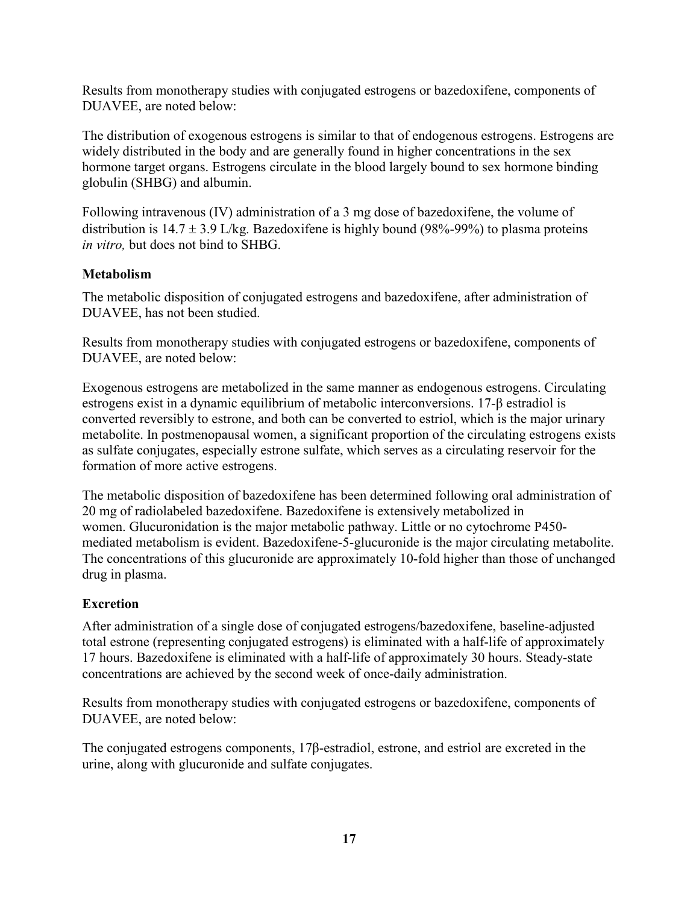Results from monotherapy studies with conjugated estrogens or bazedoxifene, components of DUAVEE, are noted below:

The distribution of exogenous estrogens is similar to that of endogenous estrogens. Estrogens are widely distributed in the body and are generally found in higher concentrations in the sex hormone target organs. Estrogens circulate in the blood largely bound to sex hormone binding globulin (SHBG) and albumin.

Following intravenous (IV) administration of a 3 mg dose of bazedoxifene, the volume of distribution is  $14.7 \pm 3.9$  L/kg. Bazedoxifene is highly bound (98%-99%) to plasma proteins *in vitro,* but does not bind to SHBG.

### **Metabolism**

The metabolic disposition of conjugated estrogens and bazedoxifene, after administration of DUAVEE, has not been studied.

Results from monotherapy studies with conjugated estrogens or bazedoxifene, components of DUAVEE, are noted below:

Exogenous estrogens are metabolized in the same manner as endogenous estrogens. Circulating estrogens exist in a dynamic equilibrium of metabolic interconversions. 17-β estradiol is converted reversibly to estrone, and both can be converted to estriol, which is the major urinary metabolite. In postmenopausal women, a significant proportion of the circulating estrogens exists as sulfate conjugates, especially estrone sulfate, which serves as a circulating reservoir for the formation of more active estrogens.

The metabolic disposition of bazedoxifene has been determined following oral administration of 20 mg of radiolabeled bazedoxifene. Bazedoxifene is extensively metabolized in women. Glucuronidation is the major metabolic pathway. Little or no cytochrome P450 mediated metabolism is evident. Bazedoxifene-5-glucuronide is the major circulating metabolite. The concentrations of this glucuronide are approximately 10-fold higher than those of unchanged drug in plasma.

### **Excretion**

After administration of a single dose of conjugated estrogens/bazedoxifene, baseline-adjusted total estrone (representing conjugated estrogens) is eliminated with a half-life of approximately 17 hours. Bazedoxifene is eliminated with a half-life of approximately 30 hours. Steady-state concentrations are achieved by the second week of once-daily administration.

Results from monotherapy studies with conjugated estrogens or bazedoxifene, components of DUAVEE, are noted below:

The conjugated estrogens components, 17β-estradiol, estrone, and estriol are excreted in the urine, along with glucuronide and sulfate conjugates.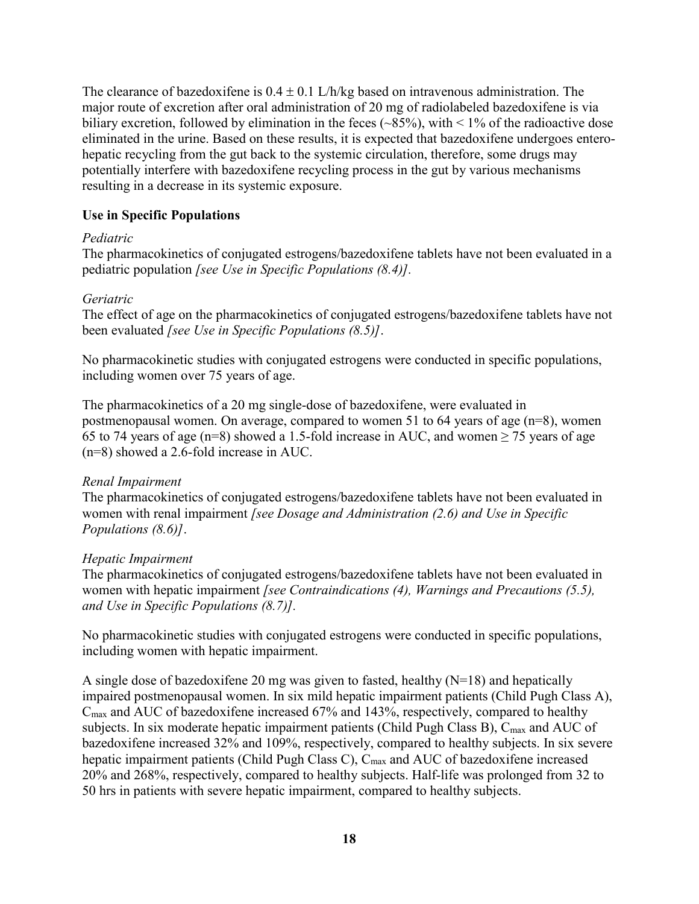The clearance of bazedoxifene is  $0.4 \pm 0.1$  L/h/kg based on intravenous administration. The major route of excretion after oral administration of 20 mg of radiolabeled bazedoxifene is via biliary excretion, followed by elimination in the feces  $(\sim 85\%)$ , with  $\leq 1\%$  of the radioactive dose eliminated in the urine. Based on these results, it is expected that bazedoxifene undergoes enterohepatic recycling from the gut back to the systemic circulation, therefore, some drugs may potentially interfere with bazedoxifene recycling process in the gut by various mechanisms resulting in a decrease in its systemic exposure.

#### **Use in Specific Populations**

#### *Pediatric*

The pharmacokinetics of conjugated estrogens/bazedoxifene tablets have not been evaluated in a pediatric population *[see Use in Specific Populations (8.4)].*

#### *Geriatric*

The effect of age on the pharmacokinetics of conjugated estrogens/bazedoxifene tablets have not been evaluated *[see Use in Specific Populations (8.5)]*.

No pharmacokinetic studies with conjugated estrogens were conducted in specific populations, including women over 75 years of age.

The pharmacokinetics of a 20 mg single-dose of bazedoxifene, were evaluated in postmenopausal women. On average, compared to women 51 to 64 years of age (n=8), women 65 to 74 years of age (n=8) showed a 1.5-fold increase in AUC, and women  $\geq$  75 years of age (n=8) showed a 2.6-fold increase in AUC.

#### *Renal Impairment*

The pharmacokinetics of conjugated estrogens/bazedoxifene tablets have not been evaluated in women with renal impairment *[see Dosage and Administration (2.6) and Use in Specific Populations (8.6)]*.

#### *Hepatic Impairment*

The pharmacokinetics of conjugated estrogens/bazedoxifene tablets have not been evaluated in women with hepatic impairment *[see Contraindications (4), Warnings and Precautions (5.5), and Use in Specific Populations (8.7)].*

No pharmacokinetic studies with conjugated estrogens were conducted in specific populations, including women with hepatic impairment.

A single dose of bazedoxifene 20 mg was given to fasted, healthy  $(N=18)$  and hepatically impaired postmenopausal women. In six mild hepatic impairment patients (Child Pugh Class A),  $C_{\text{max}}$  and AUC of bazedoxifene increased 67% and 143%, respectively, compared to healthy subjects. In six moderate hepatic impairment patients (Child Pugh Class B),  $C_{\text{max}}$  and AUC of bazedoxifene increased 32% and 109%, respectively, compared to healthy subjects. In six severe hepatic impairment patients (Child Pugh Class C), C<sub>max</sub> and AUC of bazedoxifene increased 20% and 268%, respectively, compared to healthy subjects. Half-life was prolonged from 32 to 50 hrs in patients with severe hepatic impairment, compared to healthy subjects.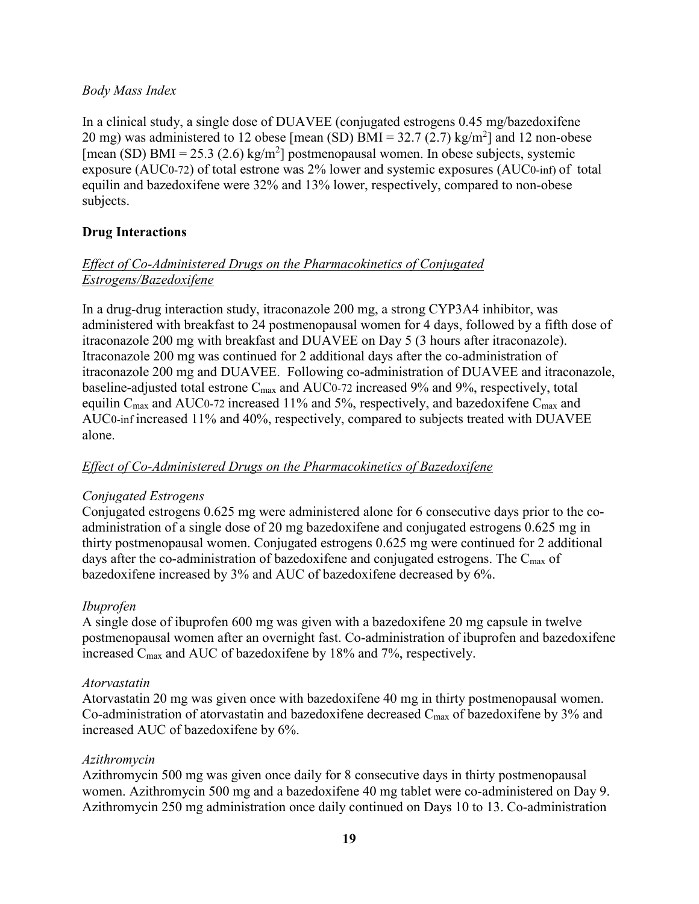#### *Body Mass Index*

In a clinical study, a single dose of DUAVEE (conjugated estrogens 0.45 mg/bazedoxifene 20 mg) was administered to 12 obese [mean (SD)  $BMI = 32.7 (2.7) kg/m<sup>2</sup>$ ] and 12 non-obese [mean (SD) BMI = 25.3 (2.6) kg/m<sup>2</sup>] postmenopausal women. In obese subjects, systemic exposure (AUC0-72) of total estrone was 2% lower and systemic exposures (AUC0-inf) of total equilin and bazedoxifene were 32% and 13% lower, respectively, compared to non-obese subjects.

### **Drug Interactions**

### *Effect of Co-Administered Drugs on the Pharmacokinetics of Conjugated Estrogens/Bazedoxifene*

In a drug-drug interaction study, itraconazole 200 mg, a strong CYP3A4 inhibitor, was administered with breakfast to 24 postmenopausal women for 4 days, followed by a fifth dose of itraconazole 200 mg with breakfast and DUAVEE on Day 5 (3 hours after itraconazole). Itraconazole 200 mg was continued for 2 additional days after the co-administration of itraconazole 200 mg and DUAVEE. Following co-administration of DUAVEE and itraconazole, baseline-adjusted total estrone  $C_{\text{max}}$  and AUC0-72 increased 9% and 9%, respectively, total equilin  $C_{\text{max}}$  and AUC0-72 increased 11% and 5%, respectively, and bazedoxifene  $C_{\text{max}}$  and AUC0-inf increased 11% and 40%, respectively, compared to subjects treated with DUAVEE alone.

### *Effect of Co-Administered Drugs on the Pharmacokinetics of Bazedoxifene*

### *Conjugated Estrogens*

Conjugated estrogens 0.625 mg were administered alone for 6 consecutive days prior to the coadministration of a single dose of 20 mg bazedoxifene and conjugated estrogens 0.625 mg in thirty postmenopausal women. Conjugated estrogens 0.625 mg were continued for 2 additional days after the co-administration of bazedoxifene and conjugated estrogens. The  $C_{\text{max}}$  of bazedoxifene increased by 3% and AUC of bazedoxifene decreased by 6%.

### *Ibuprofen*

A single dose of ibuprofen 600 mg was given with a bazedoxifene 20 mg capsule in twelve postmenopausal women after an overnight fast. Co-administration of ibuprofen and bazedoxifene increased Cmax and AUC of bazedoxifene by 18% and 7%, respectively.

#### *Atorvastatin*

Atorvastatin 20 mg was given once with bazedoxifene 40 mg in thirty postmenopausal women. Co-administration of atorvastatin and bazedoxifene decreased  $C_{\text{max}}$  of bazedoxifene by 3% and increased AUC of bazedoxifene by 6%.

#### *Azithromycin*

Azithromycin 500 mg was given once daily for 8 consecutive days in thirty postmenopausal women. Azithromycin 500 mg and a bazedoxifene 40 mg tablet were co-administered on Day 9. Azithromycin 250 mg administration once daily continued on Days 10 to 13. Co-administration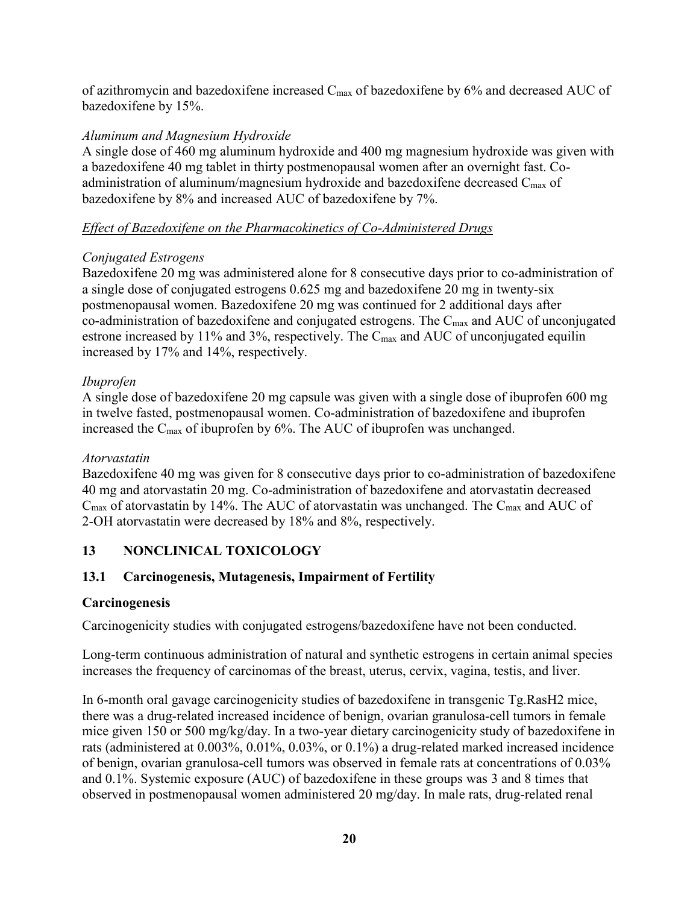of azithromycin and bazedoxifene increased Cmax of bazedoxifene by 6% and decreased AUC of bazedoxifene by 15%.

### *Aluminum and Magnesium Hydroxide*

A single dose of 460 mg aluminum hydroxide and 400 mg magnesium hydroxide was given with a bazedoxifene 40 mg tablet in thirty postmenopausal women after an overnight fast. Coadministration of aluminum/magnesium hydroxide and bazedoxifene decreased  $C_{\text{max}}$  of bazedoxifene by 8% and increased AUC of bazedoxifene by 7%.

### *Effect of Bazedoxifene on the Pharmacokinetics of Co-Administered Drugs*

### *Conjugated Estrogens*

Bazedoxifene 20 mg was administered alone for 8 consecutive days prior to co-administration of a single dose of conjugated estrogens 0.625 mg and bazedoxifene 20 mg in twenty-six postmenopausal women. Bazedoxifene 20 mg was continued for 2 additional days after co-administration of bazedoxifene and conjugated estrogens. The  $C_{\text{max}}$  and AUC of unconjugated estrone increased by 11% and 3%, respectively. The  $C_{\text{max}}$  and AUC of unconjugated equilin increased by 17% and 14%, respectively.

### *Ibuprofen*

A single dose of bazedoxifene 20 mg capsule was given with a single dose of ibuprofen 600 mg in twelve fasted, postmenopausal women. Co-administration of bazedoxifene and ibuprofen increased the  $C_{\text{max}}$  of ibuprofen by 6%. The AUC of ibuprofen was unchanged.

### *Atorvastatin*

Bazedoxifene 40 mg was given for 8 consecutive days prior to co-administration of bazedoxifene 40 mg and atorvastatin 20 mg. Co-administration of bazedoxifene and atorvastatin decreased  $C_{\text{max}}$  of atorvastatin by 14%. The AUC of atorvastatin was unchanged. The  $C_{\text{max}}$  and AUC of 2-OH atorvastatin were decreased by 18% and 8%, respectively.

### **13 NONCLINICAL TOXICOLOGY**

### **13.1 Carcinogenesis, Mutagenesis, Impairment of Fertility**

### **Carcinogenesis**

Carcinogenicity studies with conjugated estrogens/bazedoxifene have not been conducted.

Long-term continuous administration of natural and synthetic estrogens in certain animal species increases the frequency of carcinomas of the breast, uterus, cervix, vagina, testis, and liver.

In 6-month oral gavage carcinogenicity studies of bazedoxifene in transgenic Tg.RasH2 mice, there was a drug-related increased incidence of benign, ovarian granulosa-cell tumors in female mice given 150 or 500 mg/kg/day. In a two-year dietary carcinogenicity study of bazedoxifene in rats (administered at 0.003%, 0.01%, 0.03%, or 0.1%) a drug-related marked increased incidence of benign, ovarian granulosa-cell tumors was observed in female rats at concentrations of 0.03% and 0.1%. Systemic exposure (AUC) of bazedoxifene in these groups was 3 and 8 times that observed in postmenopausal women administered 20 mg/day. In male rats, drug-related renal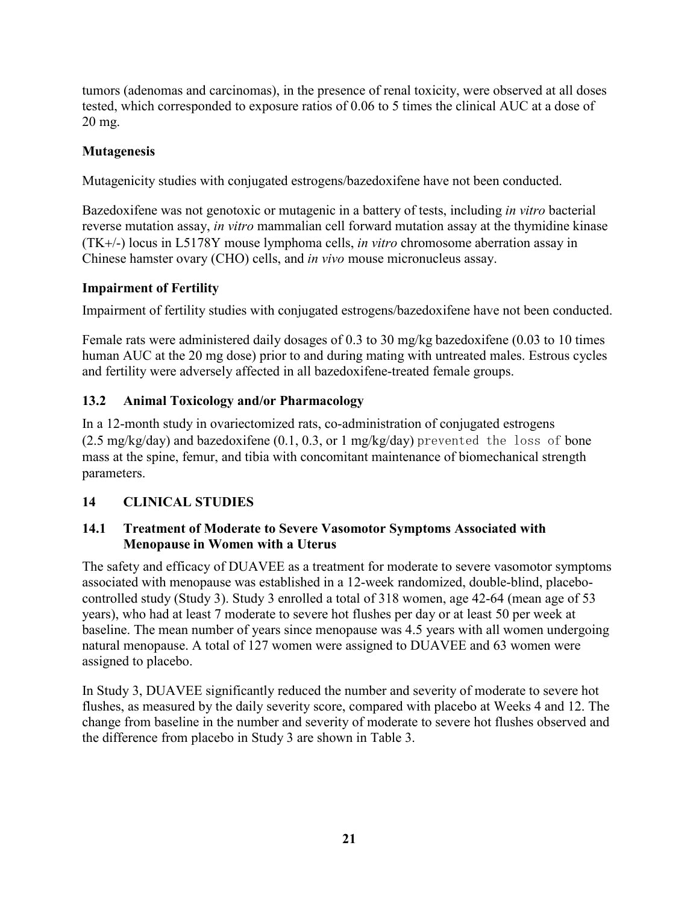tumors (adenomas and carcinomas), in the presence of renal toxicity, were observed at all doses tested, which corresponded to exposure ratios of 0.06 to 5 times the clinical AUC at a dose of 20 mg.

### **Mutagenesis**

Mutagenicity studies with conjugated estrogens/bazedoxifene have not been conducted.

Bazedoxifene was not genotoxic or mutagenic in a battery of tests, including *in vitro* bacterial reverse mutation assay, *in vitro* mammalian cell forward mutation assay at the thymidine kinase (TK+/-) locus in L5178Y mouse lymphoma cells, *in vitro* chromosome aberration assay in Chinese hamster ovary (CHO) cells, and *in vivo* mouse micronucleus assay.

### **Impairment of Fertility**

Impairment of fertility studies with conjugated estrogens/bazedoxifene have not been conducted.

Female rats were administered daily dosages of 0.3 to 30 mg/kg bazedoxifene (0.03 to 10 times human AUC at the 20 mg dose) prior to and during mating with untreated males. Estrous cycles and fertility were adversely affected in all bazedoxifene-treated female groups.

## **13.2 Animal Toxicology and/or Pharmacology**

In a 12-month study in ovariectomized rats, co-administration of conjugated estrogens  $(2.5 \text{ mg/kg/day})$  and bazedoxifene  $(0.1, 0.3, \text{or} 1 \text{ mg/kg/day})$  prevented the loss of bone mass at the spine, femur, and tibia with concomitant maintenance of biomechanical strength parameters.

## **14 CLINICAL STUDIES**

### **14.1 Treatment of Moderate to Severe Vasomotor Symptoms Associated with Menopause in Women with a Uterus**

The safety and efficacy of DUAVEE as a treatment for moderate to severe vasomotor symptoms associated with menopause was established in a 12-week randomized, double-blind, placebocontrolled study (Study 3). Study 3 enrolled a total of 318 women, age 42-64 (mean age of 53 years), who had at least 7 moderate to severe hot flushes per day or at least 50 per week at baseline. The mean number of years since menopause was 4.5 years with all women undergoing natural menopause. A total of 127 women were assigned to DUAVEE and 63 women were assigned to placebo.

In Study 3, DUAVEE significantly reduced the number and severity of moderate to severe hot flushes, as measured by the daily severity score, compared with placebo at Weeks 4 and 12. The change from baseline in the number and severity of moderate to severe hot flushes observed and the difference from placebo in Study 3 are shown in Table 3.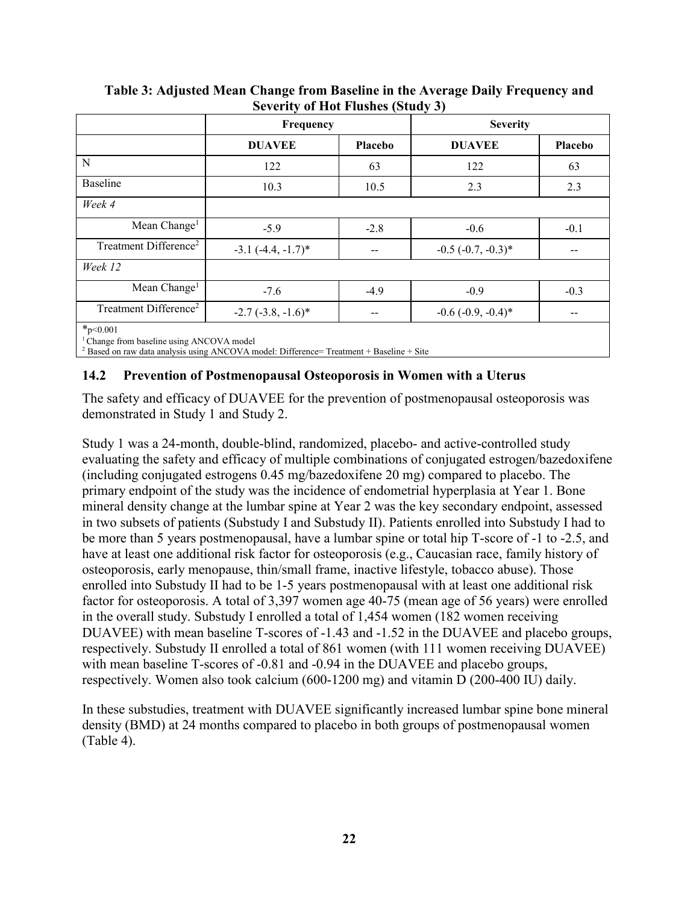|                                                                                                                                                                     | Frequency               |                | <b>Severity</b>         |                |
|---------------------------------------------------------------------------------------------------------------------------------------------------------------------|-------------------------|----------------|-------------------------|----------------|
|                                                                                                                                                                     | <b>DUAVEE</b>           | <b>Placebo</b> | <b>DUAVEE</b>           | <b>Placebo</b> |
| N                                                                                                                                                                   | 122                     | 63             | 122                     | 63             |
| Baseline                                                                                                                                                            | 10.3                    | 10.5           | 2.3                     | 2.3            |
| Week 4                                                                                                                                                              |                         |                |                         |                |
| Mean Change <sup>1</sup>                                                                                                                                            | $-5.9$                  | $-2.8$         | $-0.6$                  | $-0.1$         |
| Treatment Difference <sup>2</sup>                                                                                                                                   | $-3.1$ $(-4.4, -1.7)$ * |                | $-0.5$ $(-0.7, -0.3)$ * |                |
| Week 12                                                                                                                                                             |                         |                |                         |                |
| Mean Change <sup>1</sup>                                                                                                                                            | $-7.6$                  | $-4.9$         | $-0.9$                  | $-0.3$         |
| Treatment Difference <sup>2</sup>                                                                                                                                   | $-2.7$ $(-3.8, -1.6)$ * |                | $-0.6$ $(-0.9, -0.4)$ * |                |
| $*_{p<0.001}$<br><sup>1</sup> Change from baseline using ANCOVA model<br>$2$ Based on raw data analysis using ANCOVA model: Difference= Treatment + Baseline + Site |                         |                |                         |                |

#### **Table 3: Adjusted Mean Change from Baseline in the Average Daily Frequency and Severity of Hot Flushes (Study 3)**

**14.2 Prevention of Postmenopausal Osteoporosis in Women with a Uterus**

The safety and efficacy of DUAVEE for the prevention of postmenopausal osteoporosis was demonstrated in Study 1 and Study 2.

Study 1 was a 24-month, double-blind, randomized, placebo- and active-controlled study evaluating the safety and efficacy of multiple combinations of conjugated estrogen/bazedoxifene (including conjugated estrogens 0.45 mg/bazedoxifene 20 mg) compared to placebo. The primary endpoint of the study was the incidence of endometrial hyperplasia at Year 1. Bone mineral density change at the lumbar spine at Year 2 was the key secondary endpoint, assessed in two subsets of patients (Substudy I and Substudy II). Patients enrolled into Substudy I had to be more than 5 years postmenopausal, have a lumbar spine or total hip T-score of -1 to -2.5, and have at least one additional risk factor for osteoporosis (e.g., Caucasian race, family history of osteoporosis, early menopause, thin/small frame, inactive lifestyle, tobacco abuse). Those enrolled into Substudy II had to be 1-5 years postmenopausal with at least one additional risk factor for osteoporosis. A total of 3,397 women age 40-75 (mean age of 56 years) were enrolled in the overall study. Substudy I enrolled a total of 1,454 women (182 women receiving DUAVEE) with mean baseline T-scores of -1.43 and -1.52 in the DUAVEE and placebo groups, respectively. Substudy II enrolled a total of 861 women (with 111 women receiving DUAVEE) with mean baseline T-scores of -0.81 and -0.94 in the DUAVEE and placebo groups, respectively. Women also took calcium (600-1200 mg) and vitamin D (200-400 IU) daily.

In these substudies, treatment with DUAVEE significantly increased lumbar spine bone mineral density (BMD) at 24 months compared to placebo in both groups of postmenopausal women (Table 4).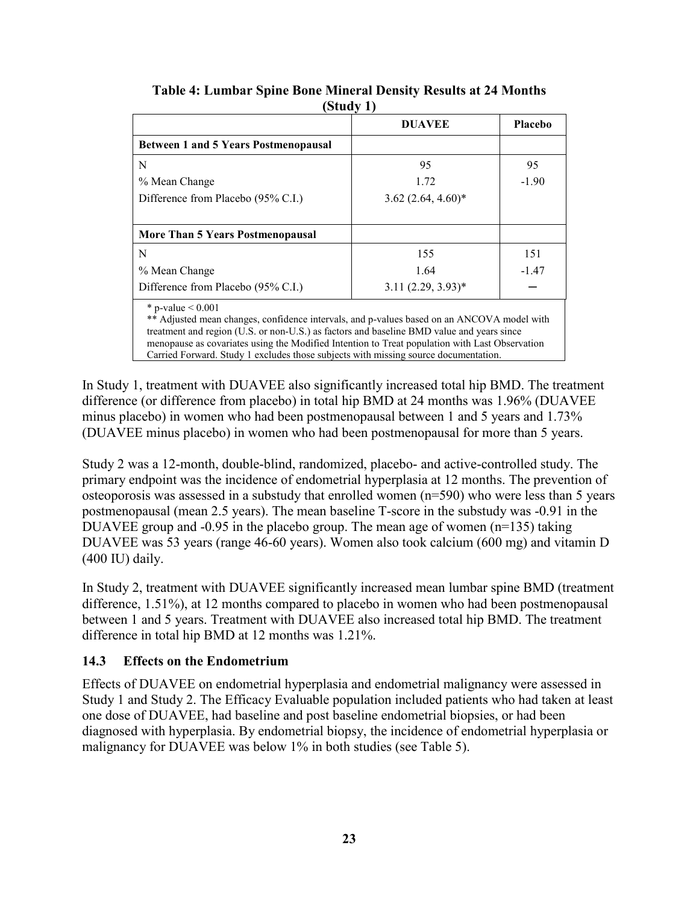|                                                                                                                                                                                                                                                                                                                                                                                                         | <b>DUAVEE</b>        | <b>Placebo</b> |
|---------------------------------------------------------------------------------------------------------------------------------------------------------------------------------------------------------------------------------------------------------------------------------------------------------------------------------------------------------------------------------------------------------|----------------------|----------------|
| <b>Between 1 and 5 Years Postmenopausal</b>                                                                                                                                                                                                                                                                                                                                                             |                      |                |
| N                                                                                                                                                                                                                                                                                                                                                                                                       | 95                   | 95             |
| % Mean Change                                                                                                                                                                                                                                                                                                                                                                                           | 1.72                 | $-1.90$        |
| Difference from Placebo (95% C.I.)                                                                                                                                                                                                                                                                                                                                                                      | $3.62(2.64, 4.60)$ * |                |
| More Than 5 Years Postmenopausal                                                                                                                                                                                                                                                                                                                                                                        |                      |                |
| N                                                                                                                                                                                                                                                                                                                                                                                                       | 155                  | 151            |
| % Mean Change                                                                                                                                                                                                                                                                                                                                                                                           | 1.64                 | $-1.47$        |
| Difference from Placebo (95% C.I.)                                                                                                                                                                                                                                                                                                                                                                      | $3.11(2.29, 3.93)^*$ |                |
| * p-value $< 0.001$<br>** Adjusted mean changes, confidence intervals, and p-values based on an ANCOVA model with<br>treatment and region (U.S. or non-U.S.) as factors and baseline BMD value and years since<br>menopause as covariates using the Modified Intention to Treat population with Last Observation<br>Carried Forward. Study 1 excludes those subjects with missing source documentation. |                      |                |

**Table 4: Lumbar Spine Bone Mineral Density Results at 24 Months (Study 1)**

In Study 1, treatment with DUAVEE also significantly increased total hip BMD. The treatment difference (or difference from placebo) in total hip BMD at 24 months was 1.96% (DUAVEE minus placebo) in women who had been postmenopausal between 1 and 5 years and 1.73% (DUAVEE minus placebo) in women who had been postmenopausal for more than 5 years.

Study 2 was a 12-month, double-blind, randomized, placebo- and active-controlled study. The primary endpoint was the incidence of endometrial hyperplasia at 12 months. The prevention of osteoporosis was assessed in a substudy that enrolled women (n=590) who were less than 5 years postmenopausal (mean 2.5 years). The mean baseline T-score in the substudy was -0.91 in the DUAVEE group and  $-0.95$  in the placebo group. The mean age of women (n=135) taking DUAVEE was 53 years (range 46-60 years). Women also took calcium (600 mg) and vitamin D (400 IU) daily.

In Study 2, treatment with DUAVEE significantly increased mean lumbar spine BMD (treatment difference, 1.51%), at 12 months compared to placebo in women who had been postmenopausal between 1 and 5 years. Treatment with DUAVEE also increased total hip BMD. The treatment difference in total hip BMD at 12 months was 1.21%.

### **14.3 Effects on the Endometrium**

Effects of DUAVEE on endometrial hyperplasia and endometrial malignancy were assessed in Study 1 and Study 2. The Efficacy Evaluable population included patients who had taken at least one dose of DUAVEE, had baseline and post baseline endometrial biopsies, or had been diagnosed with hyperplasia. By endometrial biopsy, the incidence of endometrial hyperplasia or malignancy for DUAVEE was below 1% in both studies (see Table 5).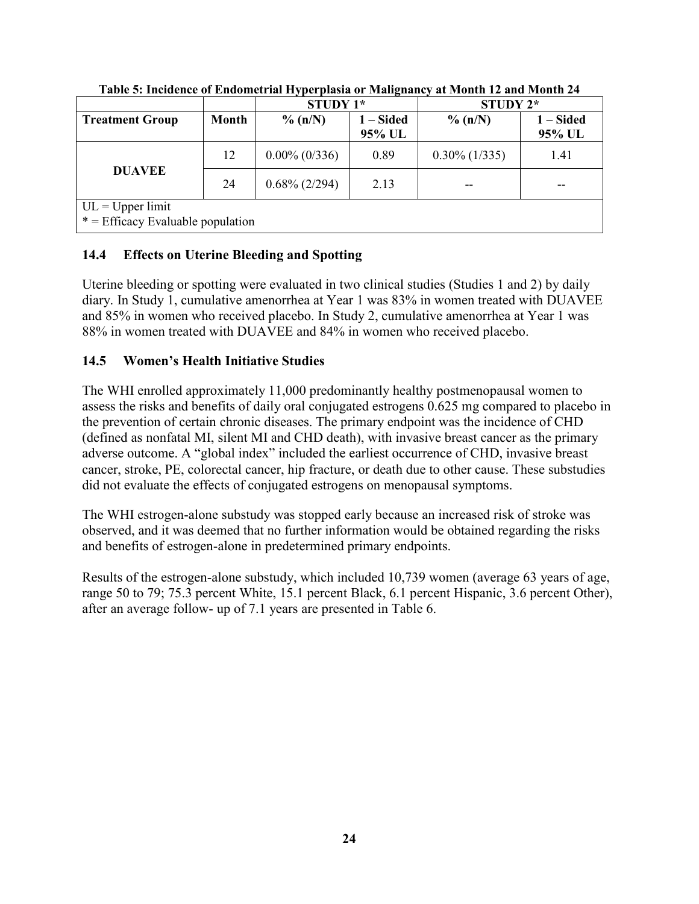|                                                           |              | <b>STUDY 1*</b>  |                          | STUDY 2*         |                       |  |  |
|-----------------------------------------------------------|--------------|------------------|--------------------------|------------------|-----------------------|--|--|
| <b>Treatment Group</b>                                    | <b>Month</b> | $\%$ (n/N)       | <b>- Sided</b><br>95% UL | $\%$ (n/N)       | $1 - Sided$<br>95% UL |  |  |
|                                                           | 12           | $0.00\%$ (0/336) | 0.89                     | $0.30\%$ (1/335) | 1.41                  |  |  |
| <b>DUAVEE</b>                                             | 24           | $0.68\%$ (2/294) | 2.13                     |                  |                       |  |  |
| $UL = Upper limit$<br>$* =$ Efficacy Evaluable population |              |                  |                          |                  |                       |  |  |

**Table 5: Incidence of Endometrial Hyperplasia or Malignancy at Month 12 and Month 24**

### **14.4 Effects on Uterine Bleeding and Spotting**

Uterine bleeding or spotting were evaluated in two clinical studies (Studies 1 and 2) by daily diary. In Study 1, cumulative amenorrhea at Year 1 was 83% in women treated with DUAVEE and 85% in women who received placebo. In Study 2, cumulative amenorrhea at Year 1 was 88% in women treated with DUAVEE and 84% in women who received placebo.

### **14.5 Women's Health Initiative Studies**

The WHI enrolled approximately 11,000 predominantly healthy postmenopausal women to assess the risks and benefits of daily oral conjugated estrogens 0.625 mg compared to placebo in the prevention of certain chronic diseases. The primary endpoint was the incidence of CHD (defined as nonfatal MI, silent MI and CHD death), with invasive breast cancer as the primary adverse outcome. A "global index" included the earliest occurrence of CHD, invasive breast cancer, stroke, PE, colorectal cancer, hip fracture, or death due to other cause. These substudies did not evaluate the effects of conjugated estrogens on menopausal symptoms.

The WHI estrogen-alone substudy was stopped early because an increased risk of stroke was observed, and it was deemed that no further information would be obtained regarding the risks and benefits of estrogen-alone in predetermined primary endpoints.

Results of the estrogen-alone substudy, which included 10,739 women (average 63 years of age, range 50 to 79; 75.3 percent White, 15.1 percent Black, 6.1 percent Hispanic, 3.6 percent Other), after an average follow- up of 7.1 years are presented in Table 6.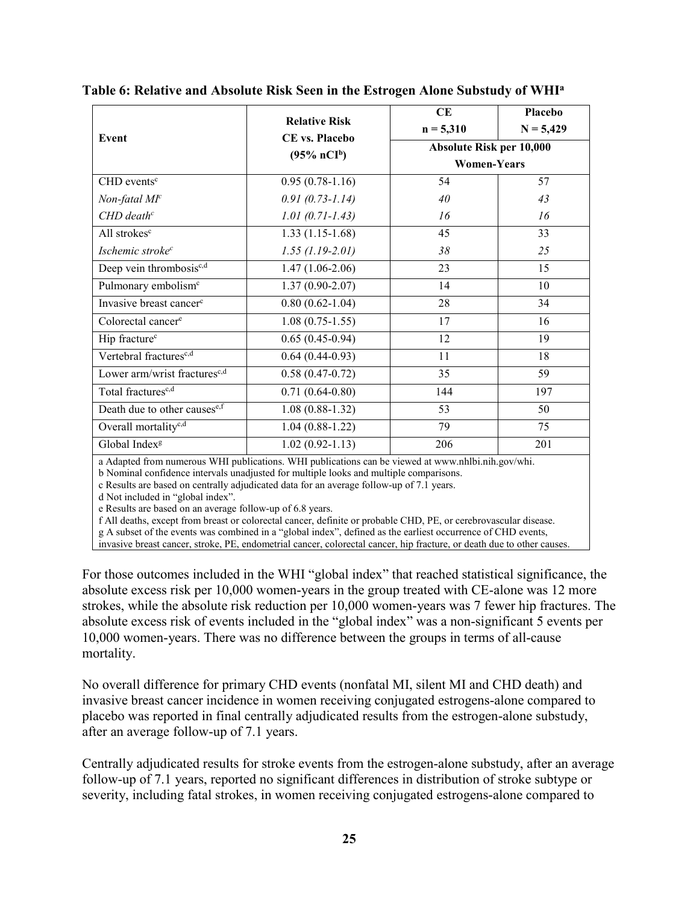|                                          |                       | <b>CE</b>                | <b>Placebo</b>     |  |  |
|------------------------------------------|-----------------------|--------------------------|--------------------|--|--|
|                                          | <b>Relative Risk</b>  | $n = 5,310$              | $N = 5,429$        |  |  |
| Event                                    | <b>CE</b> vs. Placebo | Absolute Risk per 10,000 |                    |  |  |
|                                          | $(95\% \; nCI^b)$     |                          | <b>Women-Years</b> |  |  |
| $CHD$ events <sup>c</sup>                | $0.95(0.78-1.16)$     | 54                       | 57                 |  |  |
| $Non-fatal Mc$                           | $0.91(0.73 - 1.14)$   | 40                       | 43                 |  |  |
| $CHD$ death <sup>c</sup>                 | $1.01(0.71 - 1.43)$   | 16                       | 16                 |  |  |
| All strokes <sup>c</sup>                 | $1.33(1.15-1.68)$     | 45                       | 33                 |  |  |
| Ischemic stroke <sup>c</sup>             | $1.55$ (1.19-2.01)    | 38                       | 25                 |  |  |
| Deep vein thrombosis <sup>e,d</sup>      | $1.47(1.06-2.06)$     | 23                       | 15                 |  |  |
| Pulmonary embolism <sup>c</sup>          | $1.37(0.90-2.07)$     | 14                       | 10                 |  |  |
| Invasive breast cancer <sup>c</sup>      | $0.80(0.62 - 1.04)$   | 28                       | 34                 |  |  |
| Colorectal cancer <sup>e</sup>           | $1.08(0.75-1.55)$     | 17                       | 16                 |  |  |
| Hip fracture <sup>c</sup>                | $0.65(0.45-0.94)$     | 12                       | 19                 |  |  |
| Vertebral fractures <sup>c,d</sup>       | $0.64(0.44-0.93)$     | 11                       | 18                 |  |  |
| Lower arm/wrist fractures <sup>c,d</sup> | $0.58(0.47-0.72)$     | 35                       | 59                 |  |  |
| Total fractures <sup>c,d</sup>           | $0.71(0.64-0.80)$     | 144                      | 197                |  |  |
| Death due to other causese,f             | $1.08(0.88-1.32)$     | 53                       | 50                 |  |  |
| Overall mortality <sup>e,d</sup>         | $1.04(0.88-1.22)$     | 79                       | 75                 |  |  |
| Global Index <sup>g</sup>                | $1.02(0.92 - 1.13)$   | 206                      | 201                |  |  |

| Table 6: Relative and Absolute Risk Seen in the Estrogen Alone Substudy of WHI <sup>a</sup> |  |  |  |  |
|---------------------------------------------------------------------------------------------|--|--|--|--|
|                                                                                             |  |  |  |  |

a Adapted from numerous WHI publications. WHI publications can be viewed at www.nhlbi.nih.gov/whi.

b Nominal confidence intervals unadjusted for multiple looks and multiple comparisons.

c Results are based on centrally adjudicated data for an average follow-up of 7.1 years.

d Not included in "global index".

e Results are based on an average follow-up of 6.8 years.

f All deaths, except from breast or colorectal cancer, definite or probable CHD, PE, or cerebrovascular disease.

g A subset of the events was combined in a "global index", defined as the earliest occurrence of CHD events,

invasive breast cancer, stroke, PE, endometrial cancer, colorectal cancer, hip fracture, or death due to other causes.

For those outcomes included in the WHI "global index" that reached statistical significance, the absolute excess risk per 10,000 women-years in the group treated with CE-alone was 12 more strokes, while the absolute risk reduction per 10,000 women-years was 7 fewer hip fractures. The absolute excess risk of events included in the "global index" was a non-significant 5 events per 10,000 women-years. There was no difference between the groups in terms of all-cause mortality.

No overall difference for primary CHD events (nonfatal MI, silent MI and CHD death) and invasive breast cancer incidence in women receiving conjugated estrogens-alone compared to placebo was reported in final centrally adjudicated results from the estrogen-alone substudy, after an average follow-up of 7.1 years.

Centrally adjudicated results for stroke events from the estrogen-alone substudy, after an average follow-up of 7.1 years, reported no significant differences in distribution of stroke subtype or severity, including fatal strokes, in women receiving conjugated estrogens-alone compared to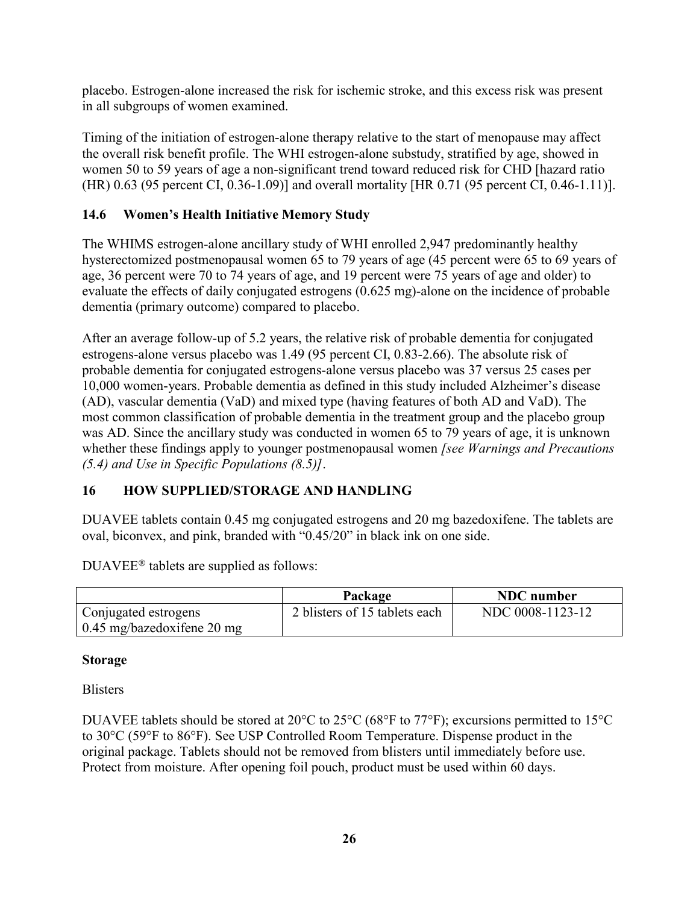placebo. Estrogen-alone increased the risk for ischemic stroke, and this excess risk was present in all subgroups of women examined.

Timing of the initiation of estrogen-alone therapy relative to the start of menopause may affect the overall risk benefit profile. The WHI estrogen-alone substudy, stratified by age, showed in women 50 to 59 years of age a non-significant trend toward reduced risk for CHD [hazard ratio (HR) 0.63 (95 percent CI, 0.36-1.09)] and overall mortality [HR 0.71 (95 percent CI, 0.46-1.11)].

### **14.6 Women's Health Initiative Memory Study**

The WHIMS estrogen-alone ancillary study of WHI enrolled 2,947 predominantly healthy hysterectomized postmenopausal women 65 to 79 years of age (45 percent were 65 to 69 years of age, 36 percent were 70 to 74 years of age, and 19 percent were 75 years of age and older) to evaluate the effects of daily conjugated estrogens (0.625 mg)-alone on the incidence of probable dementia (primary outcome) compared to placebo.

After an average follow-up of 5.2 years, the relative risk of probable dementia for conjugated estrogens-alone versus placebo was 1.49 (95 percent CI, 0.83-2.66). The absolute risk of probable dementia for conjugated estrogens-alone versus placebo was 37 versus 25 cases per 10,000 women-years. Probable dementia as defined in this study included Alzheimer's disease (AD), vascular dementia (VaD) and mixed type (having features of both AD and VaD). The most common classification of probable dementia in the treatment group and the placebo group was AD. Since the ancillary study was conducted in women 65 to 79 years of age, it is unknown whether these findings apply to younger postmenopausal women *[see Warnings and Precautions (5.4) and Use in Specific Populations (8.5)]*.

### **16 HOW SUPPLIED/STORAGE AND HANDLING**

DUAVEE tablets contain 0.45 mg conjugated estrogens and 20 mg bazedoxifene. The tablets are oval, biconvex, and pink, branded with "0.45/20" in black ink on one side.

 $DUAVEE<sup>®</sup>$  tablets are supplied as follows:

|                              | Package                       | <b>NDC</b> number |
|------------------------------|-------------------------------|-------------------|
| Conjugated estrogens         | 2 blisters of 15 tablets each | NDC 0008-1123-12  |
| $0.45$ mg/bazedoxifene 20 mg |                               |                   |

#### **Storage**

**Blisters** 

DUAVEE tablets should be stored at 20°C to 25°C (68°F to 77°F); excursions permitted to 15°C to 30°C (59°F to 86°F). See USP Controlled Room Temperature. Dispense product in the original package. Tablets should not be removed from blisters until immediately before use. Protect from moisture. After opening foil pouch, product must be used within 60 days.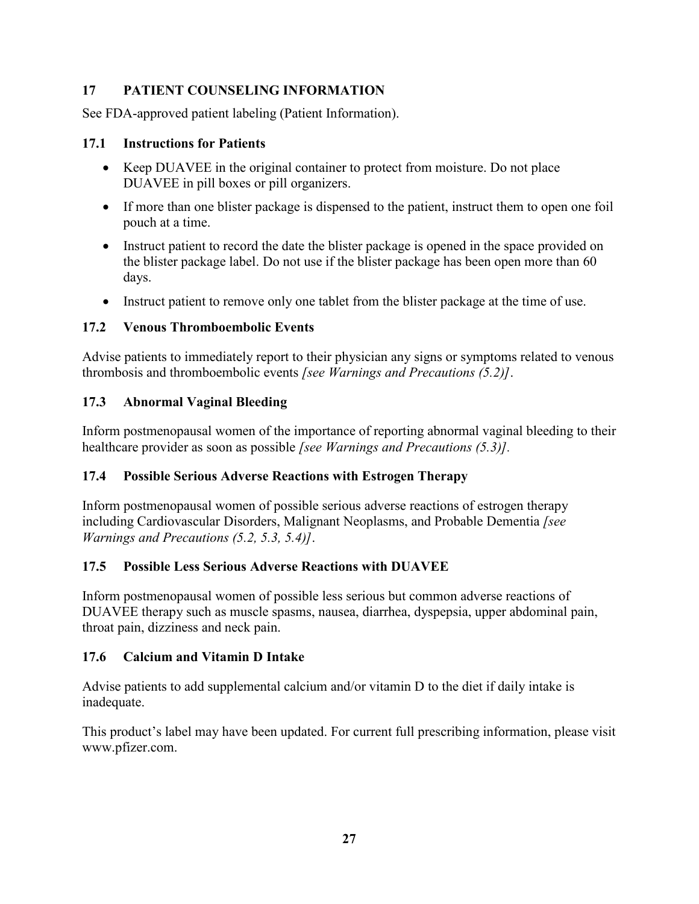### **17 PATIENT COUNSELING INFORMATION**

See FDA-approved patient labeling (Patient Information).

#### **17.1 Instructions for Patients**

- Keep DUAVEE in the original container to protect from moisture. Do not place DUAVEE in pill boxes or pill organizers.
- If more than one blister package is dispensed to the patient, instruct them to open one foil pouch at a time.
- Instruct patient to record the date the blister package is opened in the space provided on the blister package label. Do not use if the blister package has been open more than 60 days.
- Instruct patient to remove only one tablet from the blister package at the time of use.

### **17.2 Venous Thromboembolic Events**

Advise patients to immediately report to their physician any signs or symptoms related to venous thrombosis and thromboembolic events *[see Warnings and Precautions (5.2)]*.

### **17.3 Abnormal Vaginal Bleeding**

Inform postmenopausal women of the importance of reporting abnormal vaginal bleeding to their healthcare provider as soon as possible *[see Warnings and Precautions (5.3)].*

### **17.4 Possible Serious Adverse Reactions with Estrogen Therapy**

Inform postmenopausal women of possible serious adverse reactions of estrogen therapy including Cardiovascular Disorders, Malignant Neoplasms, and Probable Dementia *[see Warnings and Precautions (5.2, 5.3, 5.4)]*.

### **17.5 Possible Less Serious Adverse Reactions with DUAVEE**

Inform postmenopausal women of possible less serious but common adverse reactions of DUAVEE therapy such as muscle spasms, nausea, diarrhea, dyspepsia, upper abdominal pain, throat pain, dizziness and neck pain.

### **17.6 Calcium and Vitamin D Intake**

Advise patients to add supplemental calcium and/or vitamin D to the diet if daily intake is inadequate.

This product's label may have been updated. For current full prescribing information, please visit [www.pfizer.com.](http://www.pfizer.com/)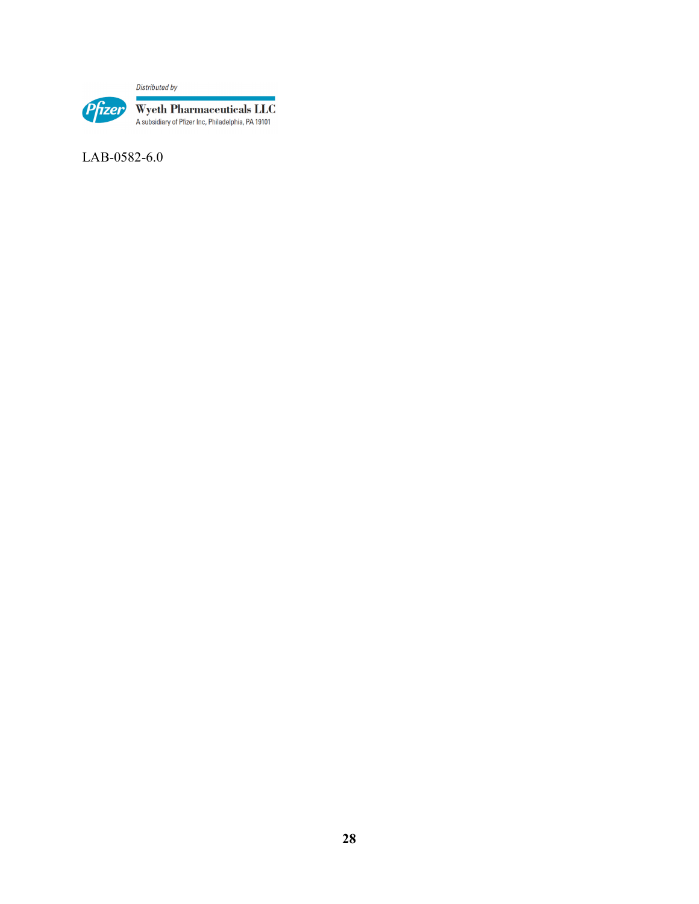Distributed by



LAB-0582-6.0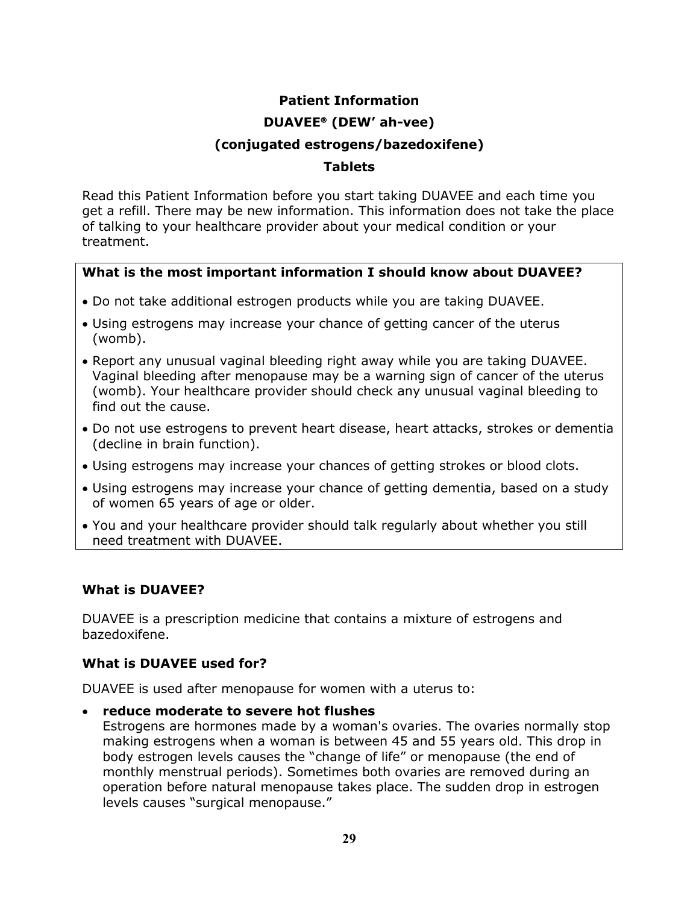# **Patient Information**

## **DUAVEE<sup>®</sup>** (DEW' ah-vee)

## **(conjugated estrogens/bazedoxifene)**

### **Tablets**

Read this Patient Information before you start taking DUAVEE and each time you get a refill. There may be new information. This information does not take the place of talking to your healthcare provider about your medical condition or your treatment.

### **What is the most important information I should know about DUAVEE?**

- Do not take additional estrogen products while you are taking DUAVEE.
- Using estrogens may increase your chance of getting cancer of the uterus (womb).
- Report any unusual vaginal bleeding right away while you are taking DUAVEE. Vaginal bleeding after menopause may be a warning sign of cancer of the uterus (womb). Your healthcare provider should check any unusual vaginal bleeding to find out the cause.
- Do not use estrogens to prevent heart disease, heart attacks, strokes or dementia (decline in brain function).
- Using estrogens may increase your chances of getting strokes or blood clots.
- Using estrogens may increase your chance of getting dementia, based on a study of women 65 years of age or older.
- You and your healthcare provider should talk regularly about whether you still need treatment with DUAVEE.

### **What is DUAVEE?**

DUAVEE is a prescription medicine that contains a mixture of estrogens and bazedoxifene.

### **What is DUAVEE used for?**

DUAVEE is used after menopause for women with a uterus to:

• **reduce moderate to severe hot flushes**

Estrogens are hormones made by a woman's ovaries. The ovaries normally stop making estrogens when a woman is between 45 and 55 years old. This drop in body estrogen levels causes the "change of life" or menopause (the end of monthly menstrual periods). Sometimes both ovaries are removed during an operation before natural menopause takes place. The sudden drop in estrogen levels causes "surgical menopause."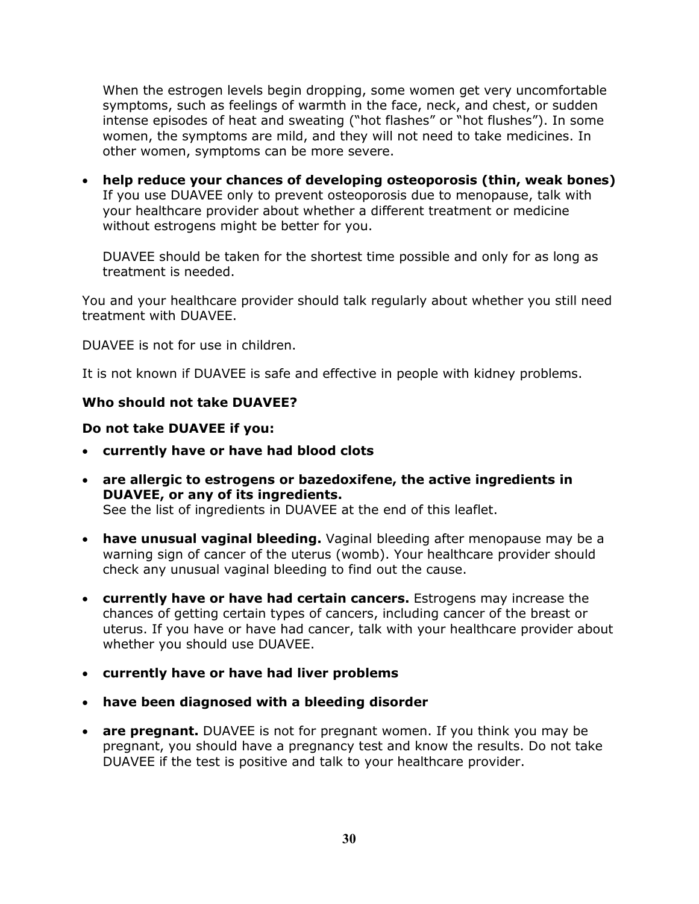When the estrogen levels begin dropping, some women get very uncomfortable symptoms, such as feelings of warmth in the face, neck, and chest, or sudden intense episodes of heat and sweating ("hot flashes" or "hot flushes"). In some women, the symptoms are mild, and they will not need to take medicines. In other women, symptoms can be more severe.

• **help reduce your chances of developing osteoporosis (thin, weak bones)** If you use DUAVEE only to prevent osteoporosis due to menopause, talk with your healthcare provider about whether a different treatment or medicine without estrogens might be better for you.

DUAVEE should be taken for the shortest time possible and only for as long as treatment is needed.

You and your healthcare provider should talk regularly about whether you still need treatment with DUAVEE.

DUAVEE is not for use in children.

It is not known if DUAVEE is safe and effective in people with kidney problems.

#### **Who should not take DUAVEE?**

#### **Do not take DUAVEE if you:**

- **currently have or have had blood clots**
- **are allergic to estrogens or bazedoxifene, the active ingredients in DUAVEE, or any of its ingredients.**  See the list of ingredients in DUAVEE at the end of this leaflet.
- **have unusual vaginal bleeding.** Vaginal bleeding after menopause may be a warning sign of cancer of the uterus (womb). Your healthcare provider should check any unusual vaginal bleeding to find out the cause.
- **currently have or have had certain cancers.** Estrogens may increase the chances of getting certain types of cancers, including cancer of the breast or uterus. If you have or have had cancer, talk with your healthcare provider about whether you should use DUAVEE.
- **currently have or have had liver problems**
- **have been diagnosed with a bleeding disorder**
- **are pregnant.** DUAVEE is not for pregnant women. If you think you may be pregnant, you should have a pregnancy test and know the results. Do not take DUAVEE if the test is positive and talk to your healthcare provider.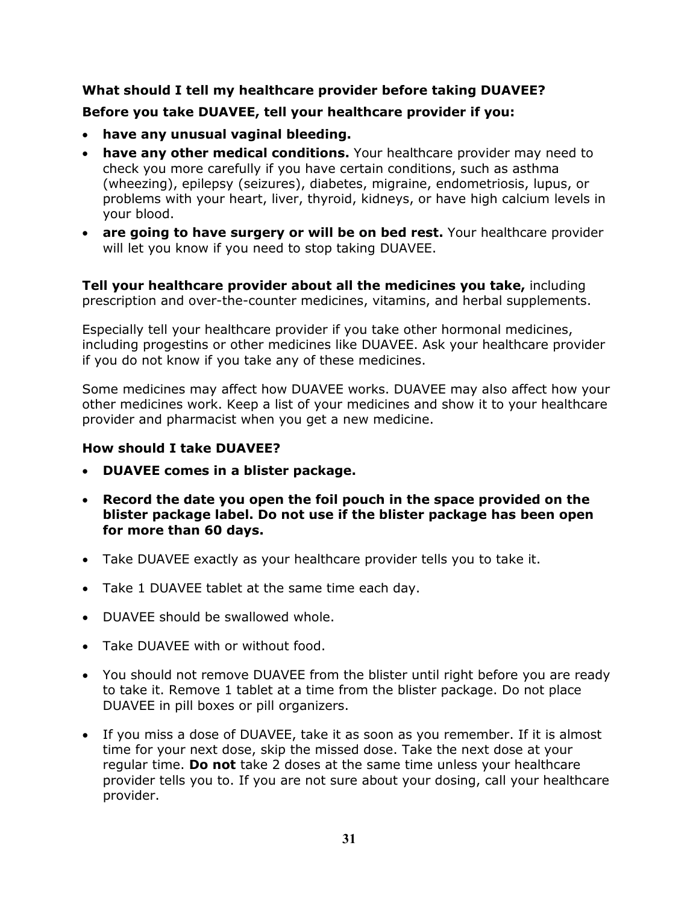## **What should I tell my healthcare provider before taking DUAVEE? Before you take DUAVEE, tell your healthcare provider if you:**

- **have any unusual vaginal bleeding.**
- **have any other medical conditions.** Your healthcare provider may need to check you more carefully if you have certain conditions, such as asthma (wheezing), epilepsy (seizures), diabetes, migraine, endometriosis, lupus, or problems with your heart, liver, thyroid, kidneys, or have high calcium levels in your blood.
- **are going to have surgery or will be on bed rest.** Your healthcare provider will let you know if you need to stop taking DUAVEE.

**Tell your healthcare provider about all the medicines you take,** including prescription and over-the-counter medicines, vitamins, and herbal supplements.

Especially tell your healthcare provider if you take other hormonal medicines, including progestins or other medicines like DUAVEE. Ask your healthcare provider if you do not know if you take any of these medicines.

Some medicines may affect how DUAVEE works. DUAVEE may also affect how your other medicines work. Keep a list of your medicines and show it to your healthcare provider and pharmacist when you get a new medicine.

### **How should I take DUAVEE?**

- **DUAVEE comes in a blister package.**
- **Record the date you open the foil pouch in the space provided on the blister package label. Do not use if the blister package has been open for more than 60 days.**
- Take DUAVEE exactly as your healthcare provider tells you to take it.
- Take 1 DUAVEE tablet at the same time each day.
- DUAVEE should be swallowed whole.
- Take DUAVEE with or without food.
- You should not remove DUAVEE from the blister until right before you are ready to take it. Remove 1 tablet at a time from the blister package. Do not place DUAVEE in pill boxes or pill organizers.
- If you miss a dose of DUAVEE, take it as soon as you remember. If it is almost time for your next dose, skip the missed dose. Take the next dose at your regular time. **Do not** take 2 doses at the same time unless your healthcare provider tells you to. If you are not sure about your dosing, call your healthcare provider.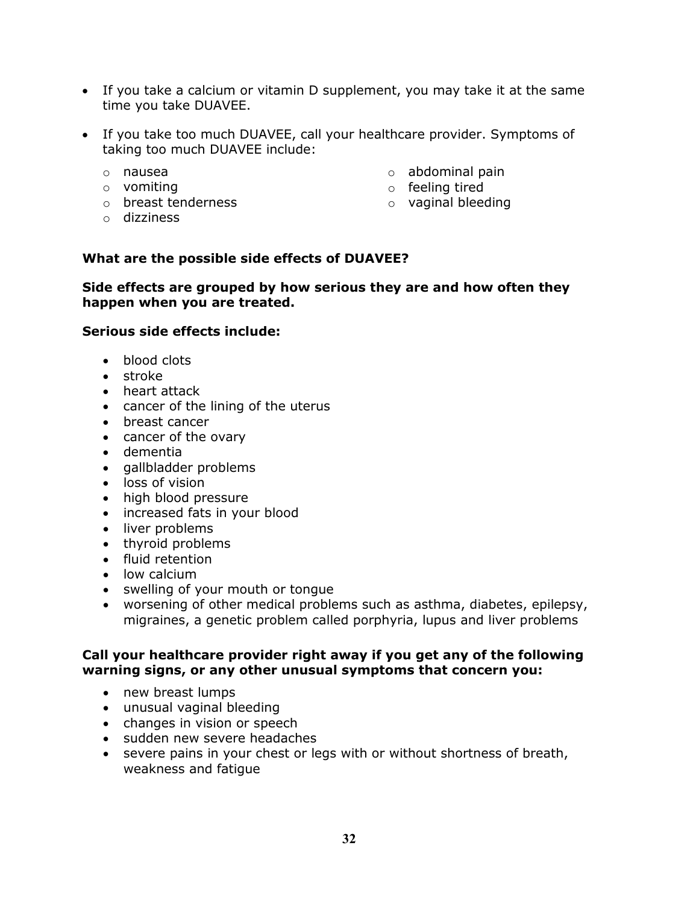- If you take a calcium or vitamin D supplement, you may take it at the same time you take DUAVEE.
- If you take too much DUAVEE, call your healthcare provider. Symptoms of taking too much DUAVEE include:
	- o nausea
	- o vomiting
	- o breast tenderness
	- o dizziness
- o abdominal pain
- o feeling tired
- o vaginal bleeding

#### **What are the possible side effects of DUAVEE?**

#### **Side effects are grouped by how serious they are and how often they happen when you are treated.**

#### **Serious side effects include:**

- blood clots
- stroke
- heart attack
- cancer of the lining of the uterus
- breast cancer
- cancer of the ovary
- dementia
- gallbladder problems
- loss of vision
- high blood pressure
- increased fats in your blood
- liver problems
- thyroid problems
- fluid retention
- low calcium
- swelling of your mouth or tongue
- worsening of other medical problems such as asthma, diabetes, epilepsy, migraines, a genetic problem called porphyria, lupus and liver problems

#### **Call your healthcare provider right away if you get any of the following warning signs, or any other unusual symptoms that concern you:**

- new breast lumps
- unusual vaginal bleeding
- changes in vision or speech
- sudden new severe headaches
- severe pains in your chest or legs with or without shortness of breath, weakness and fatigue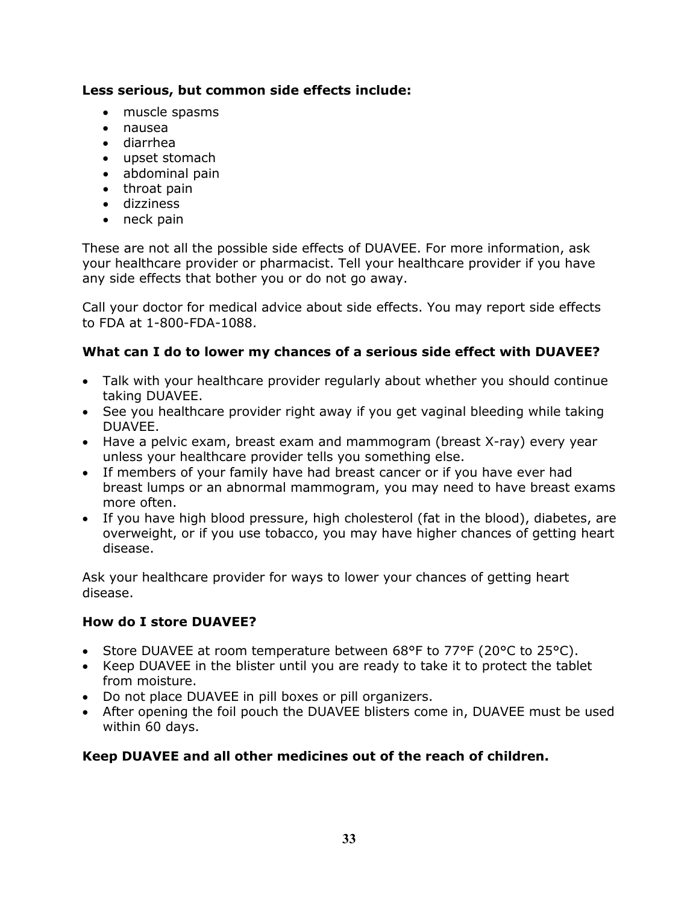### **Less serious, but common side effects include:**

- muscle spasms
- nausea
- diarrhea
- upset stomach
- abdominal pain
- throat pain
- dizziness
- neck pain

These are not all the possible side effects of DUAVEE. For more information, ask your healthcare provider or pharmacist. Tell your healthcare provider if you have any side effects that bother you or do not go away.

Call your doctor for medical advice about side effects. You may report side effects to FDA at 1-800-FDA-1088.

### **What can I do to lower my chances of a serious side effect with DUAVEE?**

- Talk with your healthcare provider regularly about whether you should continue taking DUAVEE.
- See you healthcare provider right away if you get vaginal bleeding while taking DUAVEE.
- Have a pelvic exam, breast exam and mammogram (breast X-ray) every year unless your healthcare provider tells you something else.
- If members of your family have had breast cancer or if you have ever had breast lumps or an abnormal mammogram, you may need to have breast exams more often.
- If you have high blood pressure, high cholesterol (fat in the blood), diabetes, are overweight, or if you use tobacco, you may have higher chances of getting heart disease.

Ask your healthcare provider for ways to lower your chances of getting heart disease.

### **How do I store DUAVEE?**

- Store DUAVEE at room temperature between 68°F to 77°F (20°C to 25°C).
- Keep DUAVEE in the blister until you are ready to take it to protect the tablet from moisture.
- Do not place DUAVEE in pill boxes or pill organizers.
- After opening the foil pouch the DUAVEE blisters come in, DUAVEE must be used within 60 days.

### **Keep DUAVEE and all other medicines out of the reach of children.**